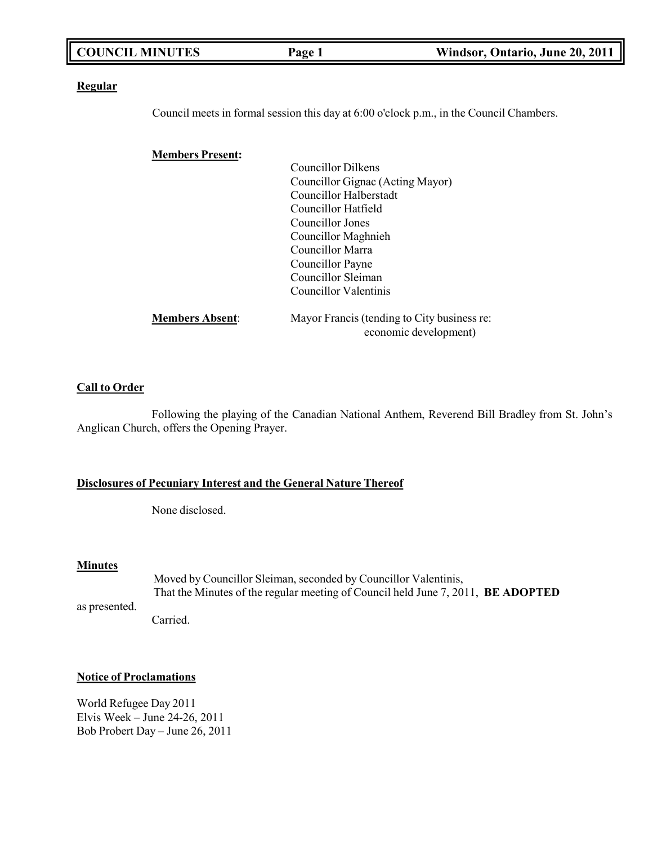| <b>COUNCIL MINUTES</b>  | Page 1                           | Windsor, Ontario, June 20, 2011                                                         |
|-------------------------|----------------------------------|-----------------------------------------------------------------------------------------|
| <b>Regular</b>          |                                  |                                                                                         |
|                         |                                  | Council meets in formal session this day at 6:00 o'clock p.m., in the Council Chambers. |
|                         |                                  |                                                                                         |
| <b>Members Present:</b> |                                  |                                                                                         |
|                         | <b>Councillor Dilkens</b>        |                                                                                         |
|                         | Councillor Gignac (Acting Mayor) |                                                                                         |
|                         | Councillor Halberstadt           |                                                                                         |
|                         | Councillor Hatfield              |                                                                                         |
|                         | Councillor Jones                 |                                                                                         |
|                         | Councillor Maghnieh              |                                                                                         |
|                         | Councillor Marra                 |                                                                                         |
|                         | Councillor Payne                 |                                                                                         |
|                         | Councillor Sleiman               |                                                                                         |
|                         | Councillor Valentinis            |                                                                                         |

| <b>Members Absent:</b> | Mayor Francis (tending to City business re: |
|------------------------|---------------------------------------------|
|                        | economic development)                       |

### **Call to Order**

Following the playing of the Canadian National Anthem, Reverend Bill Bradley from St. John's Anglican Church, offers the Opening Prayer.

### **Disclosures of Pecuniary Interest and the General Nature Thereof**

None disclosed.

#### **Minutes**

Moved by Councillor Sleiman, seconded by Councillor Valentinis, That the Minutes of the regular meeting of Council held June 7, 2011, **BE ADOPTED**

as presented.

Carried.

#### **Notice of Proclamations**

World Refugee Day 2011 Elvis Week – June 24-26, 2011 Bob Probert Day – June 26, 2011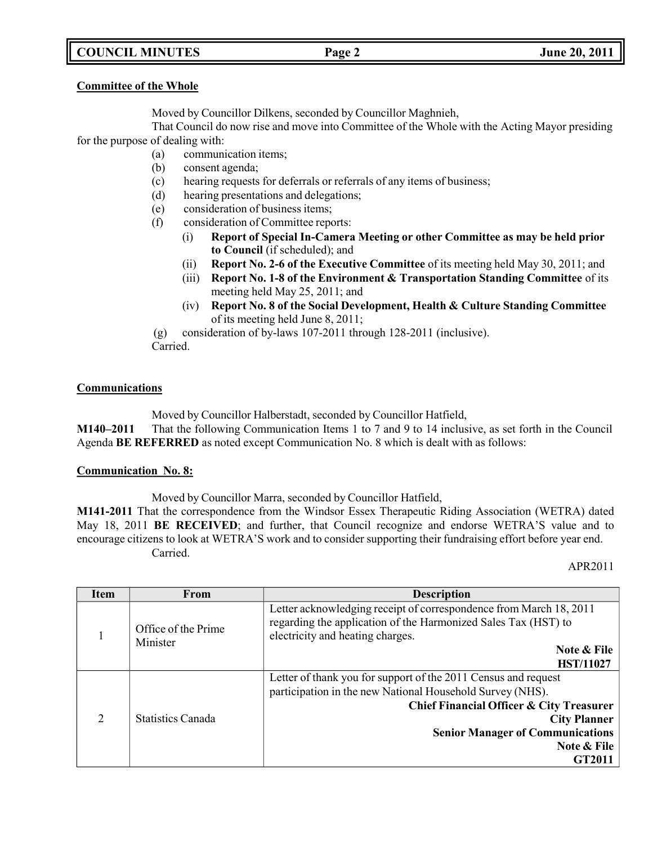## **COUNCIL MINUTES Page 2 June 20, 2011**

## **Committee of the Whole**

Moved by Councillor Dilkens, seconded by Councillor Maghnieh,

That Council do now rise and move into Committee of the Whole with the Acting Mayor presiding for the purpose of dealing with:

- (a) communication items;
- (b) consent agenda;
- (c) hearing requests for deferrals or referrals of any items of business;
- (d) hearing presentations and delegations;
- (e) consideration of business items;
- (f) consideration of Committee reports:
	- (i) **Report of Special In-Camera Meeting or other Committee as may be held prior to Council** (if scheduled); and
	- (ii) **Report No. 2-6 of the Executive Committee** of its meeting held May 30, 2011; and
	- (iii) **Report No. 1-8 of the Environment & Transportation Standing Committee** of its meeting held May 25, 2011; and
	- (iv) **Report No. 8 of the Social Development, Health & Culture Standing Committee** of its meeting held June 8, 2011;

(g) consideration of by-laws 107-2011 through 128-2011 (inclusive). Carried.

### **Communications**

Moved by Councillor Halberstadt, seconded by Councillor Hatfield,

**M140–2011** That the following Communication Items 1 to 7 and 9 to 14 inclusive, as set forth in the Council Agenda **BE REFERRED** as noted except Communication No. 8 which is dealt with as follows:

### **Communication No. 8:**

Moved by Councillor Marra, seconded by Councillor Hatfield,

**M141-2011** That the correspondence from the Windsor Essex Therapeutic Riding Association (WETRA) dated May 18, 2011 **BE RECEIVED**; and further, that Council recognize and endorse WETRA'S value and to encourage citizens to look at WETRA'S work and to consider supporting their fundraising effort before year end. Carried.

APR2011

| <b>Item</b>                     | From                                       | <b>Description</b>                                                                                                                                                                                                                                                 |
|---------------------------------|--------------------------------------------|--------------------------------------------------------------------------------------------------------------------------------------------------------------------------------------------------------------------------------------------------------------------|
| Office of the Prime<br>Minister |                                            | Letter acknowledging receipt of correspondence from March 18, 2011<br>regarding the application of the Harmonized Sales Tax (HST) to<br>electricity and heating charges.                                                                                           |
|                                 | <b>Note &amp; File</b><br><b>HST/11027</b> |                                                                                                                                                                                                                                                                    |
| C                               | Statistics Canada                          | Letter of thank you for support of the 2011 Census and request<br>participation in the new National Household Survey (NHS).<br>Chief Financial Officer & City Treasurer<br><b>City Planner</b><br><b>Senior Manager of Communications</b><br>Note & File<br>GT2011 |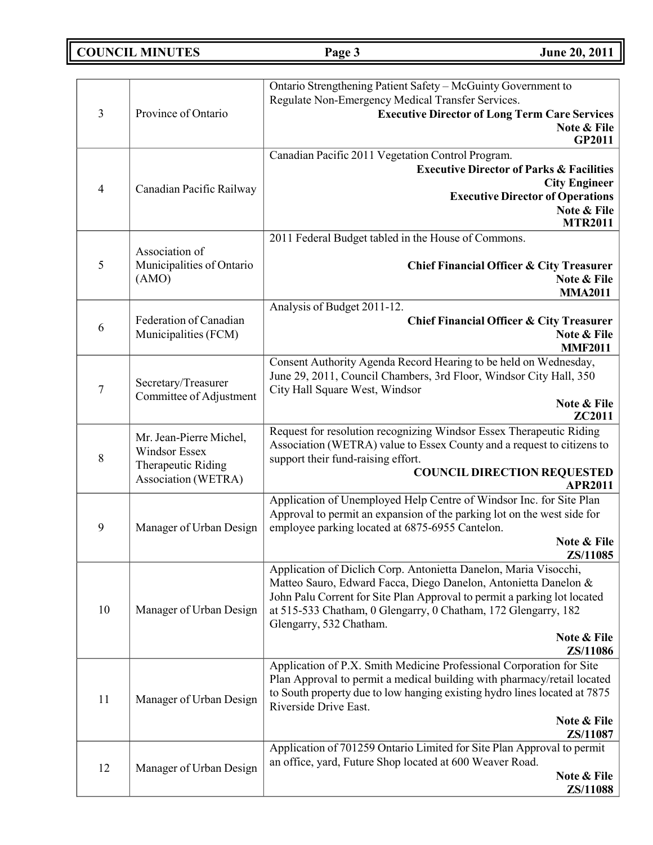**COUNCIL MINUTES Page 3 June 20, 2011**

| $\overline{3}$ | Province of Ontario                                                                          | Ontario Strengthening Patient Safety - McGuinty Government to<br>Regulate Non-Emergency Medical Transfer Services.<br><b>Executive Director of Long Term Care Services</b><br>Note & File<br>GP2011                                                                                                                                     |
|----------------|----------------------------------------------------------------------------------------------|-----------------------------------------------------------------------------------------------------------------------------------------------------------------------------------------------------------------------------------------------------------------------------------------------------------------------------------------|
| $\overline{4}$ | Canadian Pacific Railway                                                                     | Canadian Pacific 2011 Vegetation Control Program.<br><b>Executive Director of Parks &amp; Facilities</b><br><b>City Engineer</b><br><b>Executive Director of Operations</b><br>Note & File<br><b>MTR2011</b>                                                                                                                            |
| 5              | Association of<br>Municipalities of Ontario<br>(AMO)                                         | 2011 Federal Budget tabled in the House of Commons.<br>Chief Financial Officer & City Treasurer<br>Note & File<br><b>MMA2011</b>                                                                                                                                                                                                        |
| 6              | Federation of Canadian<br>Municipalities (FCM)                                               | Analysis of Budget 2011-12.<br>Chief Financial Officer & City Treasurer<br>Note & File<br><b>MMF2011</b>                                                                                                                                                                                                                                |
| $\overline{7}$ | Secretary/Treasurer<br>Committee of Adjustment                                               | Consent Authority Agenda Record Hearing to be held on Wednesday,<br>June 29, 2011, Council Chambers, 3rd Floor, Windsor City Hall, 350<br>City Hall Square West, Windsor<br>Note & File<br>ZC2011                                                                                                                                       |
| 8              | Mr. Jean-Pierre Michel,<br><b>Windsor Essex</b><br>Therapeutic Riding<br>Association (WETRA) | Request for resolution recognizing Windsor Essex Therapeutic Riding<br>Association (WETRA) value to Essex County and a request to citizens to<br>support their fund-raising effort.<br><b>COUNCIL DIRECTION REQUESTED</b><br><b>APR2011</b>                                                                                             |
| 9              | Manager of Urban Design                                                                      | Application of Unemployed Help Centre of Windsor Inc. for Site Plan<br>Approval to permit an expansion of the parking lot on the west side for<br>employee parking located at 6875-6955 Cantelon.<br>Note & File<br>ZS/11085                                                                                                            |
| 10             | Manager of Urban Design                                                                      | Application of Diclich Corp. Antonietta Danelon, Maria Visocchi,<br>Matteo Sauro, Edward Facca, Diego Danelon, Antonietta Danelon &<br>John Palu Corrent for Site Plan Approval to permit a parking lot located<br>at 515-533 Chatham, 0 Glengarry, 0 Chatham, 172 Glengarry, 182<br>Glengarry, 532 Chatham.<br>Note & File<br>ZS/11086 |
| 11             | Manager of Urban Design                                                                      | Application of P.X. Smith Medicine Professional Corporation for Site<br>Plan Approval to permit a medical building with pharmacy/retail located<br>to South property due to low hanging existing hydro lines located at 7875<br>Riverside Drive East.<br>Note & File<br>ZS/11087                                                        |
| 12             | Manager of Urban Design                                                                      | Application of 701259 Ontario Limited for Site Plan Approval to permit<br>an office, yard, Future Shop located at 600 Weaver Road.<br>Note & File<br><b>ZS/11088</b>                                                                                                                                                                    |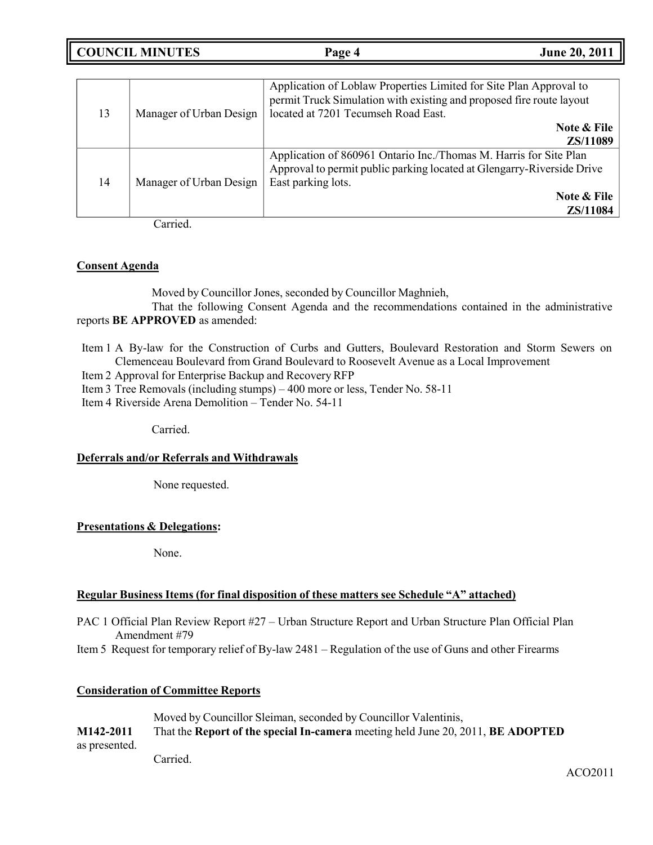**COUNCIL MINUTES Page 4 June 20, 2011**

| 13 | Manager of Urban Design | Application of Loblaw Properties Limited for Site Plan Approval to<br>permit Truck Simulation with existing and proposed fire route layout<br>located at 7201 Tecumseh Road East. |
|----|-------------------------|-----------------------------------------------------------------------------------------------------------------------------------------------------------------------------------|
|    |                         | Note & File<br>ZS/11089                                                                                                                                                           |
| 14 | Manager of Urban Design | Application of 860961 Ontario Inc./Thomas M. Harris for Site Plan<br>Approval to permit public parking located at Glengarry-Riverside Drive<br>East parking lots.                 |
|    |                         | Note & File<br>ZS/11084                                                                                                                                                           |

Carried.

### **Consent Agenda**

Moved by Councillor Jones, seconded by Councillor Maghnieh,

That the following Consent Agenda and the recommendations contained in the administrative reports **BE APPROVED** as amended:

Item 1 A By-law for the Construction of Curbs and Gutters, Boulevard Restoration and Storm Sewers on Clemenceau Boulevard from Grand Boulevard to Roosevelt Avenue as a Local Improvement

Item 2 Approval for Enterprise Backup and Recovery RFP

Item 3 Tree Removals (including stumps) – 400 more or less, Tender No. 58-11

Item 4 Riverside Arena Demolition – Tender No. 54-11

Carried.

### **Deferrals and/or Referrals and Withdrawals**

None requested.

### **Presentations & Delegations:**

None.

### **Regular Business Items (for final disposition of these matters see Schedule "A" attached)**

- PAC 1 Official Plan Review Report #27 Urban Structure Report and Urban Structure Plan Official Plan Amendment #79
- Item 5 Request for temporary relief of By-law 2481 Regulation of the use of Guns and other Firearms

### **Consideration of Committee Reports**

Moved by Councillor Sleiman, seconded by Councillor Valentinis, **M142-2011** That the **Report of the special In-camera** meeting held June 20, 2011, **BE ADOPTED** as presented. Carried.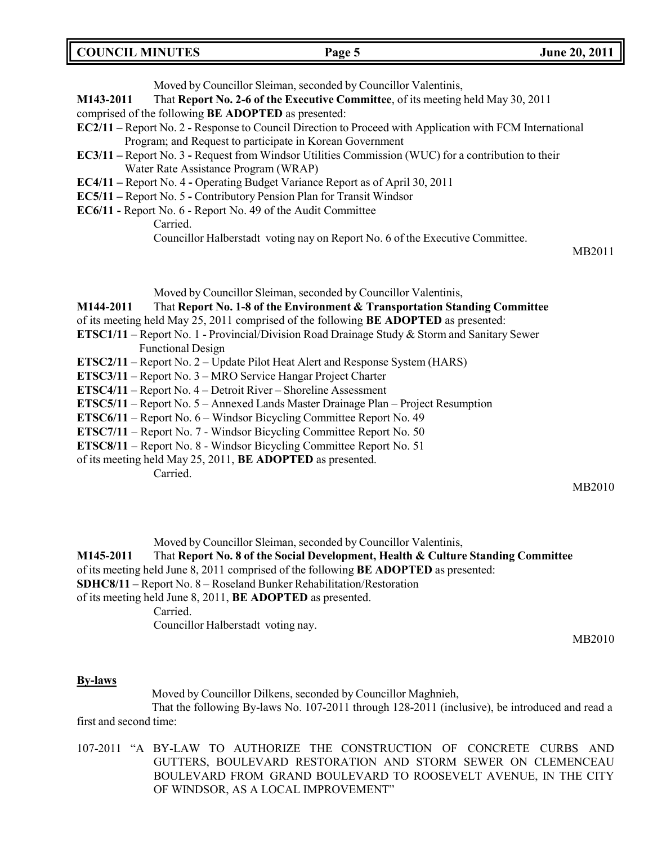Moved by Councillor Sleiman, seconded by Councillor Valentinis,

**M143-2011** That **Report No. 2-6 of the Executive Committee**, of its meeting held May 30, 2011

- comprised of the following **BE ADOPTED** as presented:
- **EC2/11 –** Report No. 2 **-** Response to Council Direction to Proceed with Application with FCM International Program; and Request to participate in Korean Government
- **EC3/11 –** Report No. 3 **-** Request from Windsor Utilities Commission (WUC) for a contribution to their Water Rate Assistance Program (WRAP)
- **EC4/11 –** Report No. 4 **-** Operating Budget Variance Report as of April 30, 2011
- **EC5/11 –** Report No. 5 **-** Contributory Pension Plan for Transit Windsor
- **EC6/11 -** Report No. 6 Report No. 49 of the Audit Committee

Carried.

Councillor Halberstadt voting nay on Report No. 6 of the Executive Committee.

MB2011

Moved by Councillor Sleiman, seconded by Councillor Valentinis,

**M144-2011** That **Report No. 1-8 of the Environment & Transportation Standing Committee**

of its meeting held May 25, 2011 comprised of the following **BE ADOPTED** as presented:

- **ETSC1/11** Report No. 1 Provincial/Division Road Drainage Study & Storm and Sanitary Sewer Functional Design
- **ETSC2/11** Report No. 2 Update Pilot Heat Alert and Response System (HARS)
- **ETSC3/11** Report No. 3 MRO Service Hangar Project Charter
- **ETSC4/11** Report No. 4 Detroit River Shoreline Assessment
- **ETSC5/11** Report No. 5 Annexed Lands Master Drainage Plan Project Resumption
- **ETSC6/11** Report No. 6 Windsor Bicycling Committee Report No. 49
- **ETSC7/11**  Report No. 7 Windsor Bicycling Committee Report No. 50
- **ETSC8/11**  Report No. 8 Windsor Bicycling Committee Report No. 51
- of its meeting held May 25, 2011, **BE ADOPTED** as presented.

Carried.

MB2010

Moved by Councillor Sleiman, seconded by Councillor Valentinis,

**M145-2011** That **Report No. 8 of the Social Development, Health & Culture Standing Committee** of its meeting held June 8, 2011 comprised of the following **BE ADOPTED** as presented:

**SDHC8/11 –** Report No. 8 – Roseland Bunker Rehabilitation/Restoration

of its meeting held June 8, 2011, **BE ADOPTED** as presented.

Carried.

Councillor Halberstadt voting nay.

MB2010

#### **By-laws**

Moved by Councillor Dilkens, seconded by Councillor Maghnieh,

That the following By-laws No. 107-2011 through 128-2011 (inclusive), be introduced and read a first and second time:

107-2011 "A BY-LAW TO AUTHORIZE THE CONSTRUCTION OF CONCRETE CURBS AND GUTTERS, BOULEVARD RESTORATION AND STORM SEWER ON CLEMENCEAU BOULEVARD FROM GRAND BOULEVARD TO ROOSEVELT AVENUE, IN THE CITY OF WINDSOR, AS A LOCAL IMPROVEMENT"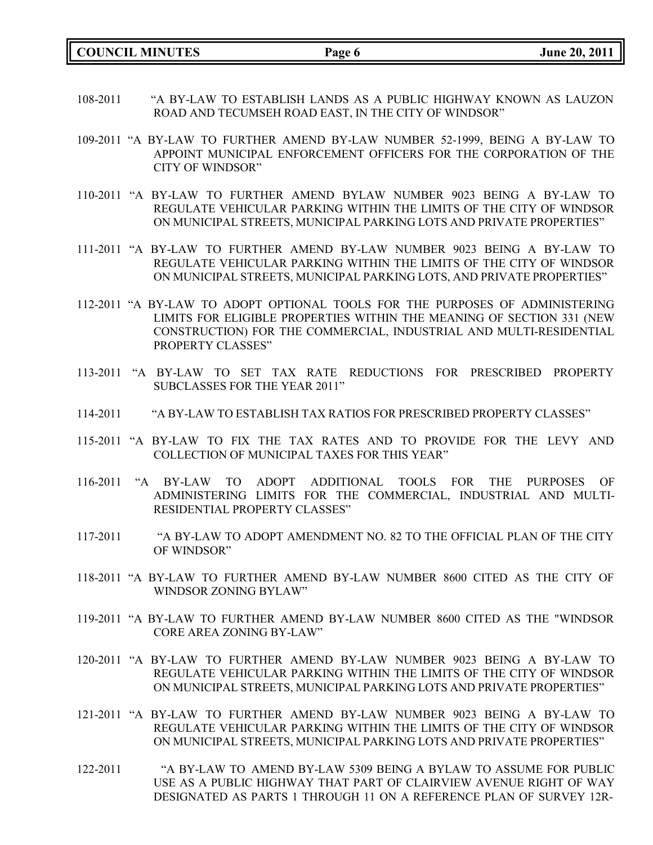**COUNCIL MINUTES Page 6 June 20, 2011**

- 108-2011 "A BY-LAW TO ESTABLISH LANDS AS A PUBLIC HIGHWAY KNOWN AS LAUZON ROAD AND TECUMSEH ROAD EAST, IN THE CITY OF WINDSOR"
- 109-2011 "A BY-LAW TO FURTHER AMEND BY-LAW NUMBER 52-1999, BEING A BY-LAW TO APPOINT MUNICIPAL ENFORCEMENT OFFICERS FOR THE CORPORATION OF THE CITY OF WINDSOR"
- 110-2011 "A BY-LAW TO FURTHER AMEND BYLAW NUMBER 9023 BEING A BY-LAW TO REGULATE VEHICULAR PARKING WITHIN THE LIMITS OF THE CITY OF WINDSOR ON MUNICIPAL STREETS, MUNICIPAL PARKING LOTS AND PRIVATE PROPERTIES"
- 111-2011 "A BY-LAW TO FURTHER AMEND BY-LAW NUMBER 9023 BEING A BY-LAW TO REGULATE VEHICULAR PARKING WITHIN THE LIMITS OF THE CITY OF WINDSOR ON MUNICIPAL STREETS, MUNICIPAL PARKING LOTS, AND PRIVATE PROPERTIES"
- 112-2011 "A BY-LAW TO ADOPT OPTIONAL TOOLS FOR THE PURPOSES OF ADMINISTERING LIMITS FOR ELIGIBLE PROPERTIES WITHIN THE MEANING OF SECTION 331 (NEW CONSTRUCTION) FOR THE COMMERCIAL, INDUSTRIAL AND MULTI-RESIDENTIAL PROPERTY CLASSES"
- 113-2011 "A BY-LAW TO SET TAX RATE REDUCTIONS FOR PRESCRIBED PROPERTY SUBCLASSES FOR THE YEAR 2011"
- 114-2011 "A BY-LAW TO ESTABLISH TAX RATIOS FOR PRESCRIBED PROPERTY CLASSES"
- 115-2011 "A BY-LAW TO FIX THE TAX RATES AND TO PROVIDE FOR THE LEVY AND COLLECTION OF MUNICIPAL TAXES FOR THIS YEAR"
- 116-2011 "A BY-LAW TO ADOPT ADDITIONAL TOOLS FOR THE PURPOSES OF ADMINISTERING LIMITS FOR THE COMMERCIAL, INDUSTRIAL AND MULTI-RESIDENTIAL PROPERTY CLASSES"
- 117-2011 "A BY-LAW TO ADOPT AMENDMENT NO. 82 TO THE OFFICIAL PLAN OF THE CITY OF WINDSOR"
- 118-2011 "A BY-LAW TO FURTHER AMEND BY-LAW NUMBER 8600 CITED AS THE CITY OF WINDSOR ZONING BYLAW"
- 119-2011 "A BY-LAW TO FURTHER AMEND BY-LAW NUMBER 8600 CITED AS THE "WINDSOR CORE AREA ZONING BY-LAW"
- 120-2011 "A BY-LAW TO FURTHER AMEND BY-LAW NUMBER 9023 BEING A BY-LAW TO REGULATE VEHICULAR PARKING WITHIN THE LIMITS OF THE CITY OF WINDSOR ON MUNICIPAL STREETS, MUNICIPAL PARKING LOTS AND PRIVATE PROPERTIES"
- 121-2011 "A BY-LAW TO FURTHER AMEND BY-LAW NUMBER 9023 BEING A BY-LAW TO REGULATE VEHICULAR PARKING WITHIN THE LIMITS OF THE CITY OF WINDSOR ON MUNICIPAL STREETS, MUNICIPAL PARKING LOTS AND PRIVATE PROPERTIES"
- 122-2011 "A BY-LAW TO AMEND BY-LAW 5309 BEING A BYLAW TO ASSUME FOR PUBLIC USE AS A PUBLIC HIGHWAY THAT PART OF CLAIRVIEW AVENUE RIGHT OF WAY DESIGNATED AS PARTS 1 THROUGH 11 ON A REFERENCE PLAN OF SURVEY 12R-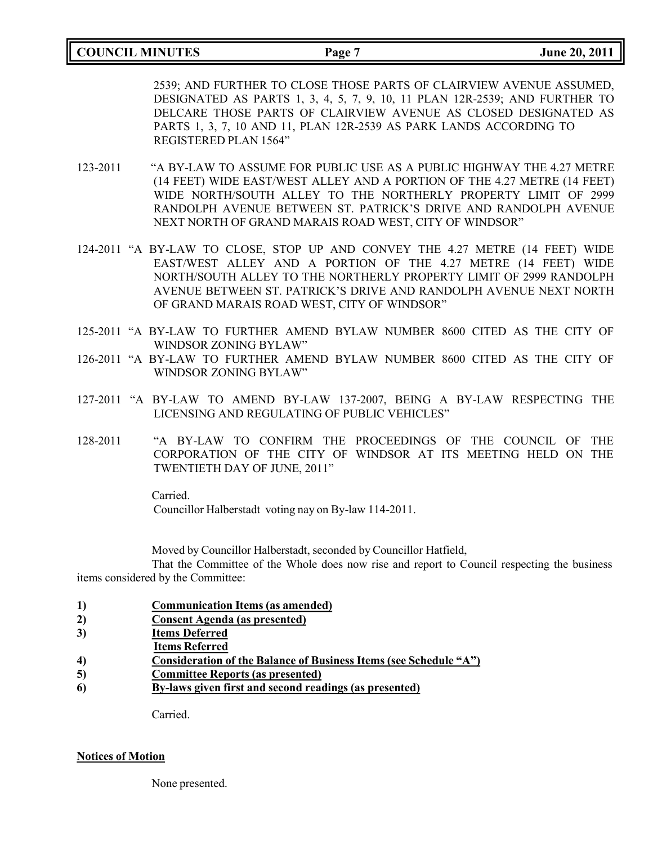### **COUNCIL MINUTES Page 7 June 20, 2011**

2539; AND FURTHER TO CLOSE THOSE PARTS OF CLAIRVIEW AVENUE ASSUMED, DESIGNATED AS PARTS 1, 3, 4, 5, 7, 9, 10, 11 PLAN 12R-2539; AND FURTHER TO DELCARE THOSE PARTS OF CLAIRVIEW AVENUE AS CLOSED DESIGNATED AS PARTS 1, 3, 7, 10 AND 11, PLAN 12R-2539 AS PARK LANDS ACCORDING TO REGISTERED PLAN 1564"

- 123-2011 "A BY-LAW TO ASSUME FOR PUBLIC USE AS A PUBLIC HIGHWAY THE 4.27 METRE (14 FEET) WIDE EAST/WEST ALLEY AND A PORTION OF THE 4.27 METRE (14 FEET) WIDE NORTH/SOUTH ALLEY TO THE NORTHERLY PROPERTY LIMIT OF 2999 RANDOLPH AVENUE BETWEEN ST. PATRICK'S DRIVE AND RANDOLPH AVENUE NEXT NORTH OF GRAND MARAIS ROAD WEST, CITY OF WINDSOR"
- 124-2011 "A BY-LAW TO CLOSE, STOP UP AND CONVEY THE 4.27 METRE (14 FEET) WIDE EAST/WEST ALLEY AND A PORTION OF THE 4.27 METRE (14 FEET) WIDE NORTH/SOUTH ALLEY TO THE NORTHERLY PROPERTY LIMIT OF 2999 RANDOLPH AVENUE BETWEEN ST. PATRICK'S DRIVE AND RANDOLPH AVENUE NEXT NORTH OF GRAND MARAIS ROAD WEST, CITY OF WINDSOR"
- 125-2011 "A BY-LAW TO FURTHER AMEND BYLAW NUMBER 8600 CITED AS THE CITY OF WINDSOR ZONING BYLAW"
- 126-2011 "A BY-LAW TO FURTHER AMEND BYLAW NUMBER 8600 CITED AS THE CITY OF WINDSOR ZONING BYLAW"
- 127-2011 "A BY-LAW TO AMEND BY-LAW 137-2007, BEING A BY-LAW RESPECTING THE LICENSING AND REGULATING OF PUBLIC VEHICLES"
- 128-2011 "A BY-LAW TO CONFIRM THE PROCEEDINGS OF THE COUNCIL OF THE CORPORATION OF THE CITY OF WINDSOR AT ITS MEETING HELD ON THE TWENTIETH DAY OF JUNE, 2011"

Carried.

Councillor Halberstadt voting nay on By-law 114-2011.

Moved by Councillor Halberstadt, seconded by Councillor Hatfield,

That the Committee of the Whole does now rise and report to Council respecting the business items considered by the Committee:

- **1) Communication Items (as amended)**
- **2) Consent Agenda (as presented)**
- **3) Items Deferred**
- **Items Referred**
- **4) Consideration of the Balance of Business Items (see Schedule "A")**
- **5) Committee Reports (as presented)**
- **6) By-laws given first and second readings (as presented)**

Carried.

#### **Notices of Motion**

None presented.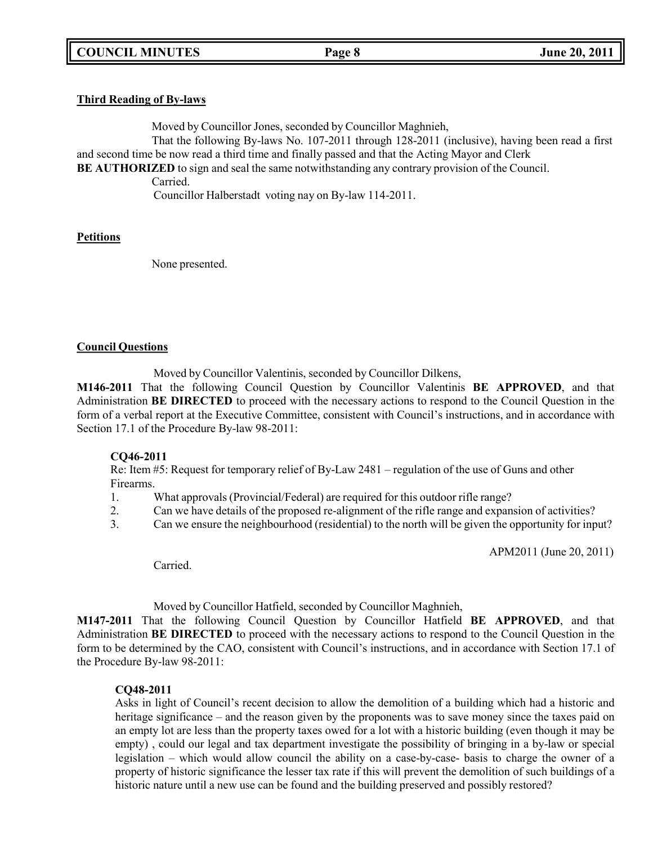### **Third Reading of By-laws**

Moved by Councillor Jones, seconded by Councillor Maghnieh,

That the following By-laws No. 107-2011 through 128-2011 (inclusive), having been read a first and second time be now read a third time and finally passed and that the Acting Mayor and Clerk

**BE AUTHORIZED** to sign and seal the same notwithstanding any contrary provision of the Council.

Carried.

Councillor Halberstadt voting nay on By-law 114-2011.

### **Petitions**

None presented.

### **Council Questions**

Moved by Councillor Valentinis, seconded by Councillor Dilkens,

**M146-2011** That the following Council Question by Councillor Valentinis **BE APPROVED**, and that Administration **BE DIRECTED** to proceed with the necessary actions to respond to the Council Question in the form of a verbal report at the Executive Committee, consistent with Council's instructions, and in accordance with Section 17.1 of the Procedure By-law 98-2011:

### **CQ46-2011**

Re: Item #5: Request for temporary relief of By-Law 2481 – regulation of the use of Guns and other Firearms.

- 1. What approvals (Provincial/Federal) are required for this outdoor rifle range?
- 2. Can we have details of the proposed re-alignment of the rifle range and expansion of activities?
- 3. Can we ensure the neighbourhood (residential) to the north will be given the opportunity for input?

APM2011 (June 20, 2011)

Carried.

Moved by Councillor Hatfield, seconded by Councillor Maghnieh,

**M147-2011** That the following Council Question by Councillor Hatfield **BE APPROVED**, and that Administration **BE DIRECTED** to proceed with the necessary actions to respond to the Council Question in the form to be determined by the CAO, consistent with Council's instructions, and in accordance with Section 17.1 of the Procedure By-law 98-2011:

### **CQ48-2011**

Asks in light of Council's recent decision to allow the demolition of a building which had a historic and heritage significance – and the reason given by the proponents was to save money since the taxes paid on an empty lot are less than the property taxes owed for a lot with a historic building (even though it may be empty) , could our legal and tax department investigate the possibility of bringing in a by-law or special legislation – which would allow council the ability on a case-by-case- basis to charge the owner of a property of historic significance the lesser tax rate if this will prevent the demolition of such buildings of a historic nature until a new use can be found and the building preserved and possibly restored?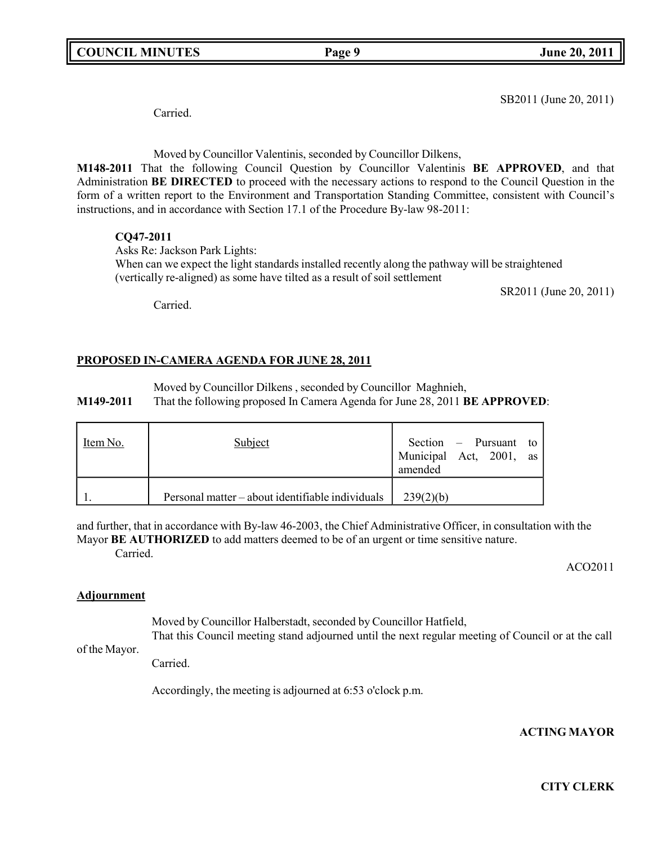**COUNCIL MINUTES Page 9 June 20, 2011**

SB2011 (June 20, 2011)

Carried.

Moved by Councillor Valentinis, seconded by Councillor Dilkens,

**M148-2011** That the following Council Question by Councillor Valentinis **BE APPROVED**, and that Administration **BE DIRECTED** to proceed with the necessary actions to respond to the Council Question in the form of a written report to the Environment and Transportation Standing Committee, consistent with Council's instructions, and in accordance with Section 17.1 of the Procedure By-law 98-2011:

## **CQ47-2011**

Asks Re: Jackson Park Lights: When can we expect the light standards installed recently along the pathway will be straightened (vertically re-aligned) as some have tilted as a result of soil settlement

SR2011 (June 20, 2011)

Carried.

## **PROPOSED IN-CAMERA AGENDA FOR JUNE 28, 2011**

Moved by Councillor Dilkens , seconded by Councillor Maghnieh, **M149-2011** That the following proposed In Camera Agenda for June 28, 2011 **BE APPROVED**:

| Item No. | Subject                                          | Section $-$ Pursuant to<br>Municipal Act, 2001, as<br>amended |
|----------|--------------------------------------------------|---------------------------------------------------------------|
|          | Personal matter – about identifiable individuals | 239(2)(b)                                                     |

and further, that in accordance with By-law 46-2003, the Chief Administrative Officer, in consultation with the Mayor **BE AUTHORIZED** to add matters deemed to be of an urgent or time sensitive nature. Carried.

ACO2011

### **Adjournment**

Moved by Councillor Halberstadt, seconded by Councillor Hatfield, That this Council meeting stand adjourned until the next regular meeting of Council or at the call

of the Mayor.

Carried.

Accordingly, the meeting is adjourned at 6:53 o'clock p.m.

**ACTING MAYOR**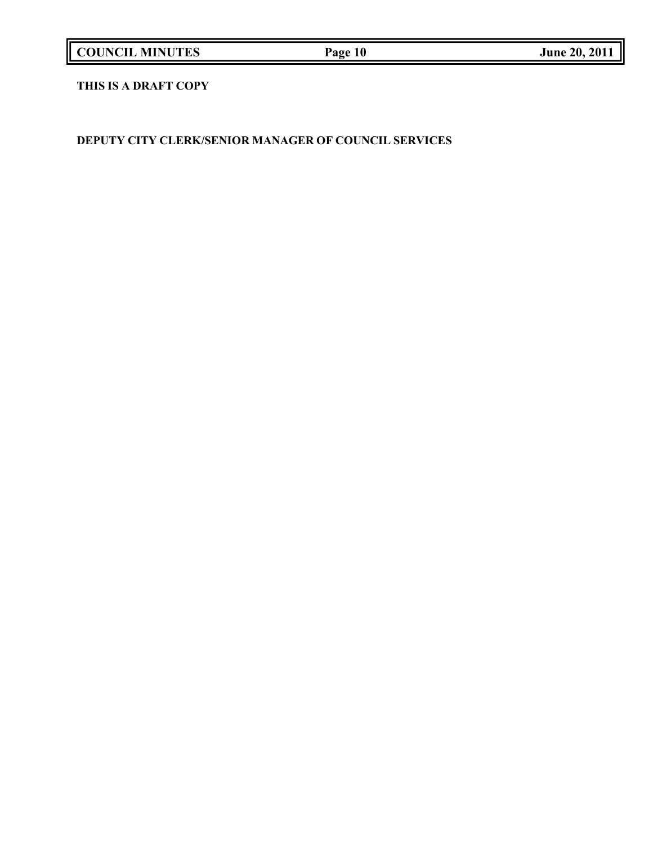| <b>COUNCIL MINUTES</b> |  |
|------------------------|--|
|------------------------|--|

## **THIS IS A DRAFT COPY**

**DEPUTY CITY CLERK/SENIOR MANAGER OF COUNCIL SERVICES**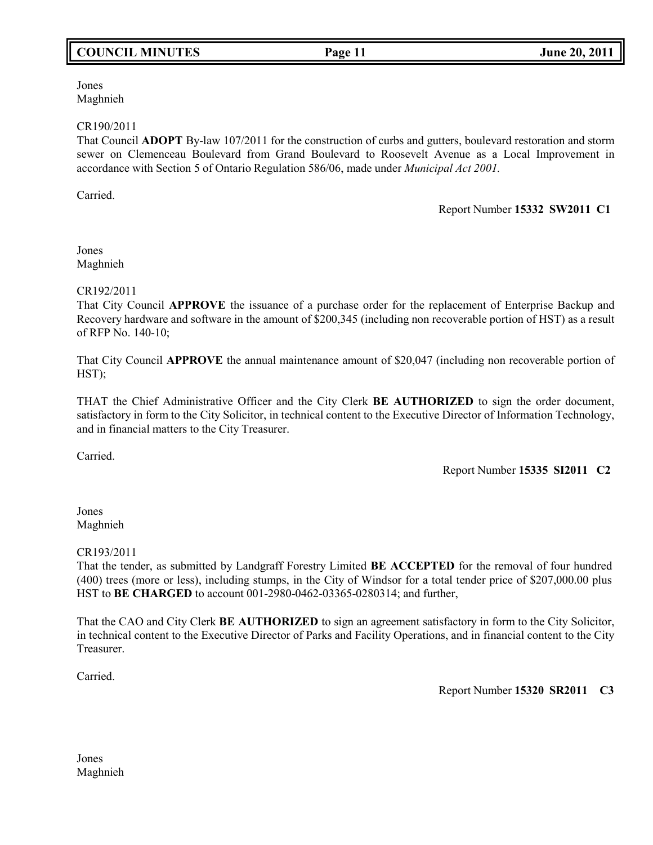## **COUNCIL MINUTES Page 11 June 20, 2011**

Jones Maghnieh

#### CR190/2011

That Council **ADOPT** By-law 107/2011 for the construction of curbs and gutters, boulevard restoration and storm sewer on Clemenceau Boulevard from Grand Boulevard to Roosevelt Avenue as a Local Improvement in accordance with Section 5 of Ontario Regulation 586/06, made under *Municipal Act 2001.*

Carried.

#### Report Number **15332 SW2011 C1**

Jones Maghnieh

#### CR192/2011

That City Council **APPROVE** the issuance of a purchase order for the replacement of Enterprise Backup and Recovery hardware and software in the amount of \$200,345 (including non recoverable portion of HST) as a result of RFP No. 140-10;

That City Council **APPROVE** the annual maintenance amount of \$20,047 (including non recoverable portion of HST);

THAT the Chief Administrative Officer and the City Clerk **BE AUTHORIZED** to sign the order document, satisfactory in form to the City Solicitor, in technical content to the Executive Director of Information Technology, and in financial matters to the City Treasurer.

Carried.

Report Number **15335 SI2011 C2**

### Jones Maghnieh

### CR193/2011

That the tender, as submitted by Landgraff Forestry Limited **BE ACCEPTED** for the removal of four hundred (400) trees (more or less), including stumps, in the City of Windsor for a total tender price of \$207,000.00 plus HST to **BE CHARGED** to account 001-2980-0462-03365-0280314; and further,

That the CAO and City Clerk **BE AUTHORIZED** to sign an agreement satisfactory in form to the City Solicitor, in technical content to the Executive Director of Parks and Facility Operations, and in financial content to the City Treasurer.

Carried.

Report Number **15320 SR2011 C3**

Jones Maghnieh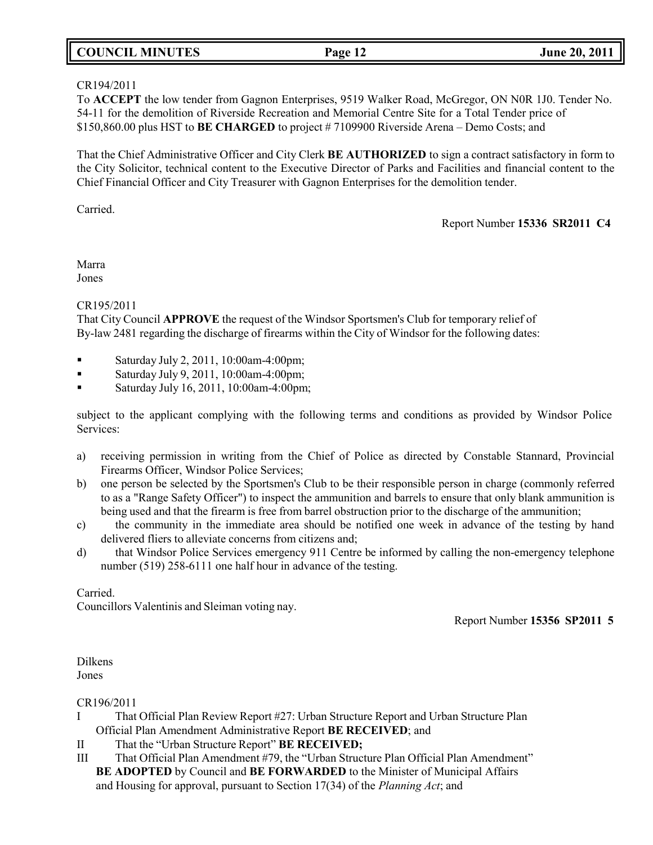### **COUNCIL MINUTES Page 12 June 20, 2011**

### CR194/2011

To **ACCEPT** the low tender from Gagnon Enterprises, 9519 Walker Road, McGregor, ON N0R 1J0. Tender No. 54-11 for the demolition of Riverside Recreation and Memorial Centre Site for a Total Tender price of \$150,860.00 plus HST to **BE CHARGED** to project # 7109900 Riverside Arena – Demo Costs; and

That the Chief Administrative Officer and City Clerk **BE AUTHORIZED** to sign a contract satisfactory in form to the City Solicitor, technical content to the Executive Director of Parks and Facilities and financial content to the Chief Financial Officer and City Treasurer with Gagnon Enterprises for the demolition tender.

Carried.

Report Number **15336 SR2011 C4**

Marra Jones

### CR195/2011

That City Council **APPROVE** the request of the Windsor Sportsmen's Club for temporary relief of By-law 2481 regarding the discharge of firearms within the City of Windsor for the following dates:

- Saturday July 2, 2011, 10:00am-4:00pm;
- Saturday July 9, 2011, 10:00am-4:00pm;
- Saturday July 16, 2011, 10:00am-4:00pm;

subject to the applicant complying with the following terms and conditions as provided by Windsor Police Services:

- a) receiving permission in writing from the Chief of Police as directed by Constable Stannard, Provincial Firearms Officer, Windsor Police Services;
- b) one person be selected by the Sportsmen's Club to be their responsible person in charge (commonly referred to as a "Range Safety Officer") to inspect the ammunition and barrels to ensure that only blank ammunition is being used and that the firearm is free from barrel obstruction prior to the discharge of the ammunition;
- c) the community in the immediate area should be notified one week in advance of the testing by hand delivered fliers to alleviate concerns from citizens and;
- d) that Windsor Police Services emergency 911 Centre be informed by calling the non-emergency telephone number (519) 258-6111 one half hour in advance of the testing.

Carried.

Councillors Valentinis and Sleiman voting nay.

Report Number **15356 SP2011 5**

Dilkens Jones

CR196/2011

- I That Official Plan Review Report #27: Urban Structure Report and Urban Structure Plan Official Plan Amendment Administrative Report **BE RECEIVED**; and
- II That the "Urban Structure Report" **BE RECEIVED;**
- III That Official Plan Amendment #79, the "Urban Structure Plan Official Plan Amendment" **BE ADOPTED** by Council and **BE FORWARDED** to the Minister of Municipal Affairs and Housing for approval, pursuant to Section 17(34) of the *Planning Act*; and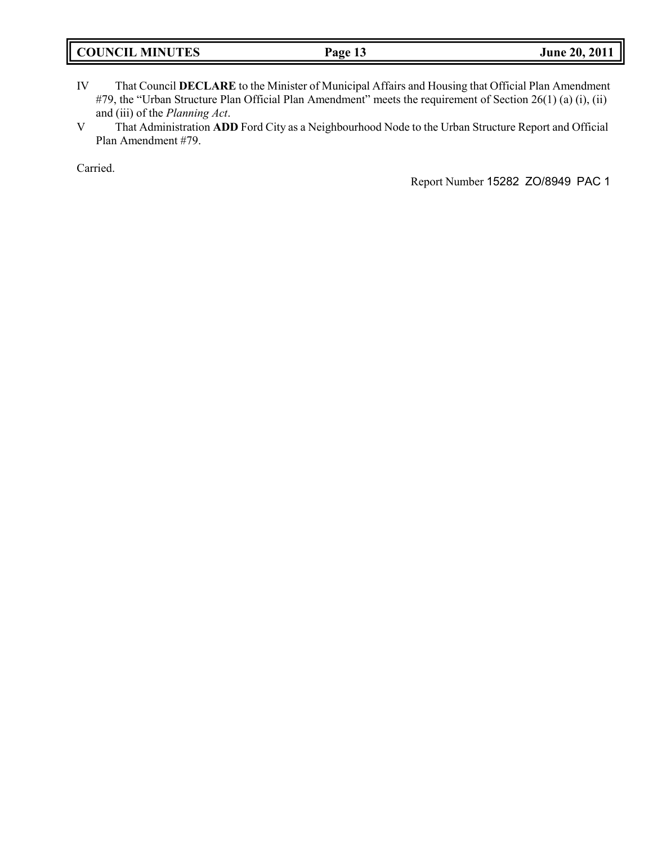- IV That Council **DECLARE** to the Minister of Municipal Affairs and Housing that Official Plan Amendment #79, the "Urban Structure Plan Official Plan Amendment" meets the requirement of Section 26(1) (a) (i), (ii) and (iii) of the *Planning Act*.
- V That Administration **ADD** Ford City as a Neighbourhood Node to the Urban Structure Report and Official Plan Amendment #79.

Carried.

Report Number 15282 ZO/8949 PAC 1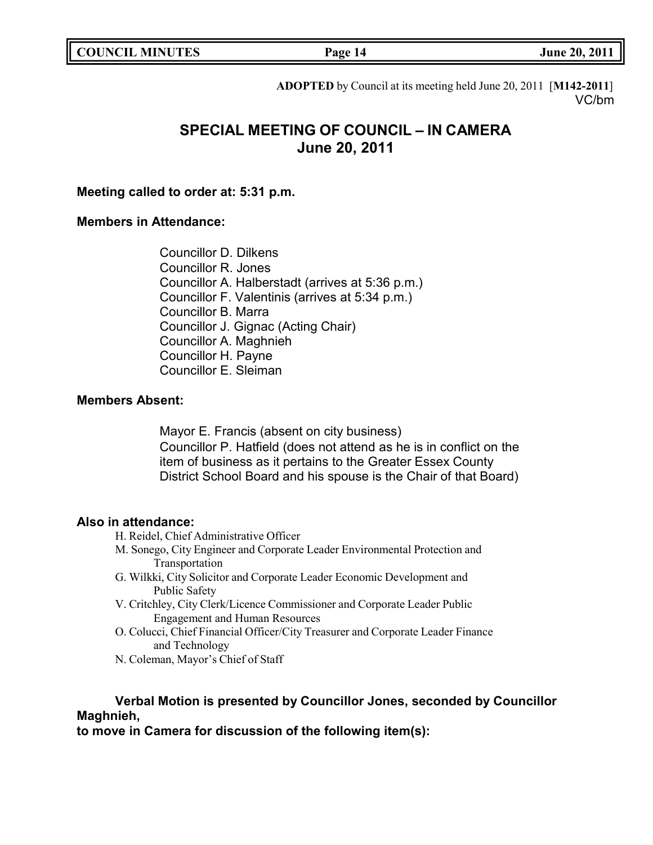|  | <b>COUNCIL MINUTES</b> |
|--|------------------------|
|--|------------------------|

**COUNCIL EXECUTE:** Fig. 2011

**ADOPTED** by Council at its meeting held June 20, 2011 [**M142-2011**] VC/bm

# **SPECIAL MEETING OF COUNCIL – IN CAMERA June 20, 2011**

### **Meeting called to order at: 5:31 p.m.**

### **Members in Attendance:**

Councillor D. Dilkens Councillor R. Jones Councillor A. Halberstadt (arrives at 5:36 p.m.) Councillor F. Valentinis (arrives at 5:34 p.m.) Councillor B. Marra Councillor J. Gignac (Acting Chair) Councillor A. Maghnieh Councillor H. Payne Councillor E. Sleiman

### **Members Absent:**

Mayor E. Francis (absent on city business) Councillor P. Hatfield (does not attend as he is in conflict on the item of business as it pertains to the Greater Essex County District School Board and his spouse is the Chair of that Board)

### **Also in attendance:**

- H. Reidel, Chief Administrative Officer
- M. Sonego, City Engineer and Corporate Leader Environmental Protection and Transportation
- G. Wilkki, City Solicitor and Corporate Leader Economic Development and Public Safety
- V. Critchley, City Clerk/Licence Commissioner and Corporate Leader Public Engagement and Human Resources
- O. Colucci, Chief Financial Officer/City Treasurer and Corporate Leader Finance and Technology
- N. Coleman, Mayor's Chief of Staff

## **Verbal Motion is presented by Councillor Jones, seconded by Councillor Maghnieh,**

**to move in Camera for discussion of the following item(s):**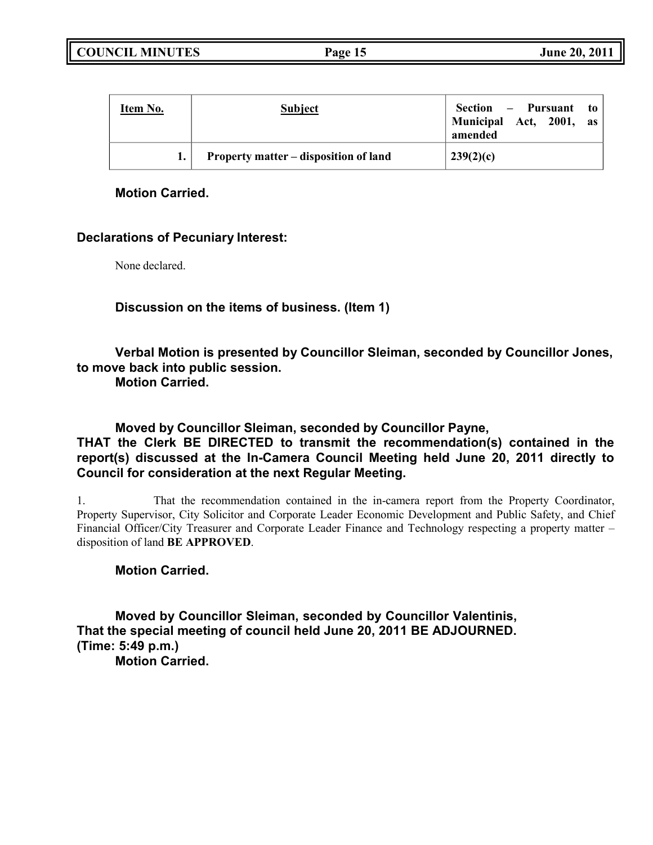**COUNCIL MINUTES Page 15 June 20, 2011**

| Item No. | <b>Subject</b>                        | Section – Pursuant to<br>Municipal Act, 2001, as<br>amended |
|----------|---------------------------------------|-------------------------------------------------------------|
|          | Property matter – disposition of land | 239(2)(c)                                                   |

## **Motion Carried.**

## **Declarations of Pecuniary Interest:**

None declared.

## **Discussion on the items of business. (Item 1)**

# **Verbal Motion is presented by Councillor Sleiman, seconded by Councillor Jones, to move back into public session.**

**Motion Carried.**

**Moved by Councillor Sleiman, seconded by Councillor Payne,**

## **THAT the Clerk BE DIRECTED to transmit the recommendation(s) contained in the report(s) discussed at the In-Camera Council Meeting held June 20, 2011 directly to Council for consideration at the next Regular Meeting.**

1. That the recommendation contained in the in-camera report from the Property Coordinator, Property Supervisor, City Solicitor and Corporate Leader Economic Development and Public Safety, and Chief Financial Officer/City Treasurer and Corporate Leader Finance and Technology respecting a property matter – disposition of land **BE APPROVED**.

## **Motion Carried.**

**Moved by Councillor Sleiman, seconded by Councillor Valentinis, That the special meeting of council held June 20, 2011 BE ADJOURNED. (Time: 5:49 p.m.) Motion Carried.**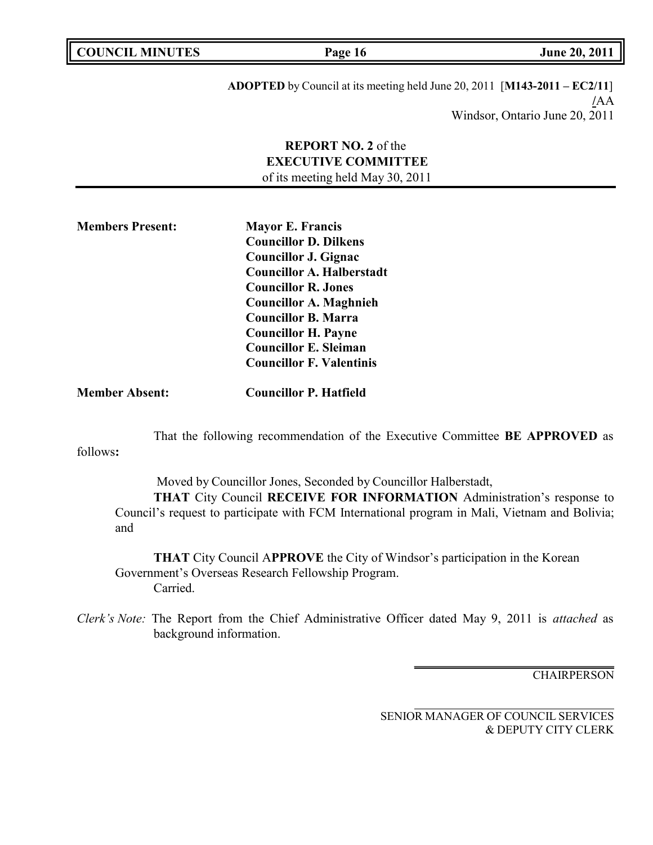| <b>COUNCIL MINUTES</b> |  |  |
|------------------------|--|--|
|------------------------|--|--|

**COUNCIL EXECUTE: COUNCIL EXECUTE: Page 16 June 20, 2011** 

**ADOPTED** by Council at its meeting held June 20, 2011 [**M143-2011 – EC2/11**] **/**AA Windsor, Ontario June 20, 2011

## **REPORT NO. 2** of the **EXECUTIVE COMMITTEE** of its meeting held May 30, 2011

**Members Present: Mayor E. Francis Councillor D. Dilkens Councillor J. Gignac Councillor A. Halberstadt Councillor R. Jones Councillor A. Maghnieh Councillor B. Marra Councillor H. Payne Councillor E. Sleiman Councillor F. Valentinis**

**Member Absent: Councillor P. Hatfield**

That the following recommendation of the Executive Committee **BE APPROVED** as

follows**:**

Moved by Councillor Jones, Seconded by Councillor Halberstadt, **THAT** City Council **RECEIVE FOR INFORMATION** Administration's response to Council's request to participate with FCM International program in Mali, Vietnam and Bolivia; and

**THAT** City Council A**PPROVE** the City of Windsor's participation in the Korean Government's Overseas Research Fellowship Program. Carried.

*Clerk's Note:* The Report from the Chief Administrative Officer dated May 9, 2011 is *attached* as background information.

**CHAIRPERSON**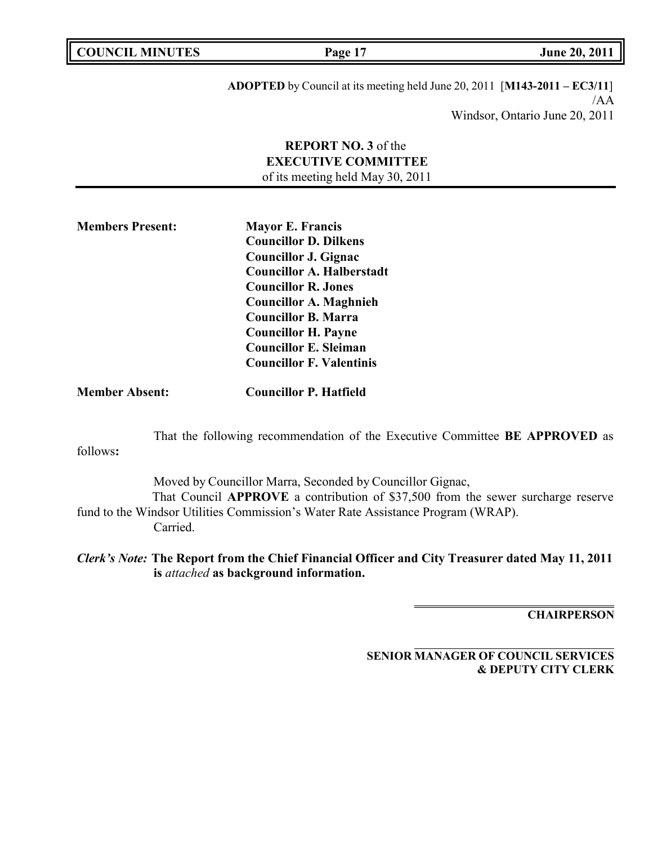**COUNCIL MINUTES Page 17 June 20, 2011**

**ADOPTED** by Council at its meeting held June 20, 2011 [**M143-2011 – EC3/11**] /AA Windsor, Ontario June 20, 2011

## **REPORT NO. 3** of the **EXECUTIVE COMMITTEE** of its meeting held May 30, 2011

**Members Present: Mayor E. Francis Councillor D. Dilkens Councillor J. Gignac Councillor A. Halberstadt Councillor R. Jones Councillor A. Maghnieh Councillor B. Marra Councillor H. Payne Councillor E. Sleiman Councillor F. Valentinis**

**Member Absent: Councillor P. Hatfield**

That the following recommendation of the Executive Committee **BE APPROVED** as

follows**:**

Moved by Councillor Marra, Seconded by Councillor Gignac, That Council **APPROVE** a contribution of \$37,500 from the sewer surcharge reserve fund to the Windsor Utilities Commission's Water Rate Assistance Program (WRAP). Carried.

*Clerk's Note:* **The Report from the Chief Financial Officer and City Treasurer dated May 11, 2011 is** *attached* **as background information.**

**CHAIRPERSON**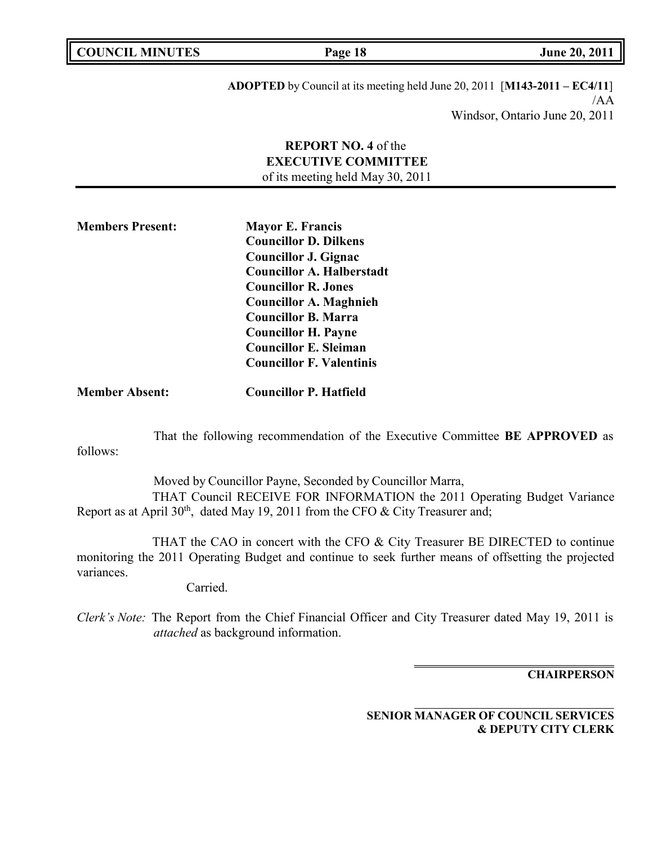**COUNCIL MINUTES Page 18 June 20, 2011**

follows:

**ADOPTED** by Council at its meeting held June 20, 2011 [**M143-2011 – EC4/11**] /AA Windsor, Ontario June 20, 2011

## **REPORT NO. 4** of the **EXECUTIVE COMMITTEE** of its meeting held May 30, 2011

| <b>Members Present:</b> | <b>Mayor E. Francis</b>          |  |
|-------------------------|----------------------------------|--|
|                         | <b>Councillor D. Dilkens</b>     |  |
|                         | <b>Councillor J. Gignac</b>      |  |
|                         | <b>Councillor A. Halberstadt</b> |  |
|                         | <b>Councillor R. Jones</b>       |  |
|                         | <b>Councillor A. Maghnieh</b>    |  |
|                         | <b>Councillor B. Marra</b>       |  |
|                         | <b>Councillor H. Payne</b>       |  |
|                         | <b>Councillor E. Sleiman</b>     |  |
|                         | <b>Councillor F. Valentinis</b>  |  |
|                         |                                  |  |

**Member Absent: Councillor P. Hatfield**

That the following recommendation of the Executive Committee **BE APPROVED** as

Moved by Councillor Payne, Seconded by Councillor Marra, THAT Council RECEIVE FOR INFORMATION the 2011 Operating Budget Variance Report as at April  $30<sup>th</sup>$ , dated May 19, 2011 from the CFO & City Treasurer and;

THAT the CAO in concert with the CFO & City Treasurer BE DIRECTED to continue monitoring the 2011 Operating Budget and continue to seek further means of offsetting the projected variances.

Carried.

*Clerk's Note:* The Report from the Chief Financial Officer and City Treasurer dated May 19, 2011 is *attached* as background information.

**CHAIRPERSON**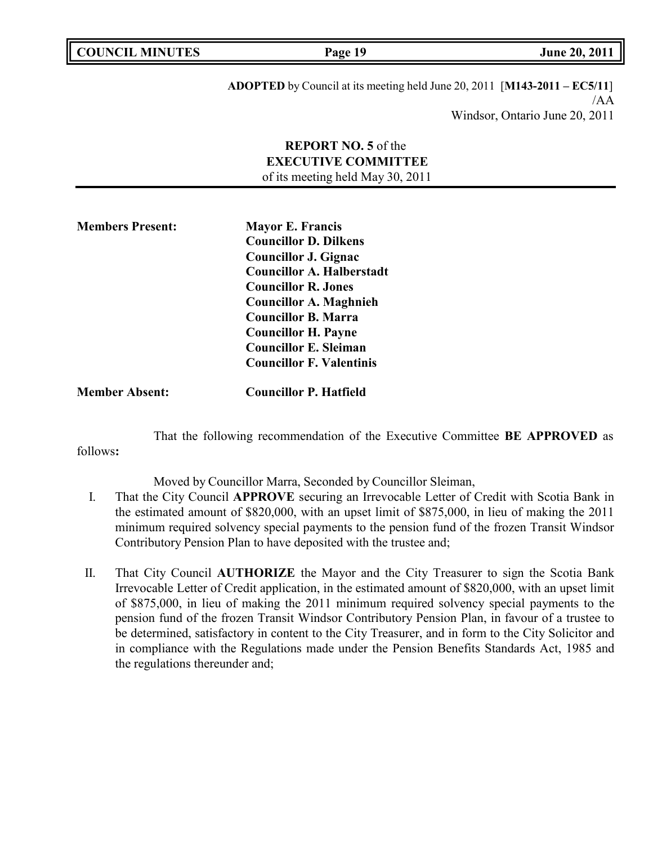**Page 19 June 20, 2011** 

**ADOPTED** by Council at its meeting held June 20, 2011 [**M143-2011 – EC5/11**] /AA Windsor, Ontario June 20, 2011

## **REPORT NO. 5** of the **EXECUTIVE COMMITTEE** of its meeting held May 30, 2011

| <b>Members Present:</b> | <b>Mayor E. Francis</b>          |  |
|-------------------------|----------------------------------|--|
|                         | <b>Councillor D. Dilkens</b>     |  |
|                         | <b>Councillor J. Gignac</b>      |  |
|                         | <b>Councillor A. Halberstadt</b> |  |
|                         | <b>Councillor R. Jones</b>       |  |
|                         | <b>Councillor A. Maghnieh</b>    |  |
|                         | <b>Councillor B. Marra</b>       |  |
|                         | <b>Councillor H. Payne</b>       |  |
|                         | <b>Councillor E. Sleiman</b>     |  |
|                         | <b>Councillor F. Valentinis</b>  |  |
|                         |                                  |  |

**Member Absent: Councillor P. Hatfield**

That the following recommendation of the Executive Committee **BE APPROVED** as

follows**:**

Moved by Councillor Marra, Seconded by Councillor Sleiman,

- I. That the City Council **APPROVE** securing an Irrevocable Letter of Credit with Scotia Bank in the estimated amount of \$820,000, with an upset limit of \$875,000, in lieu of making the 2011 minimum required solvency special payments to the pension fund of the frozen Transit Windsor Contributory Pension Plan to have deposited with the trustee and;
- II. That City Council **AUTHORIZE** the Mayor and the City Treasurer to sign the Scotia Bank Irrevocable Letter of Credit application, in the estimated amount of \$820,000, with an upset limit of \$875,000, in lieu of making the 2011 minimum required solvency special payments to the pension fund of the frozen Transit Windsor Contributory Pension Plan, in favour of a trustee to be determined, satisfactory in content to the City Treasurer, and in form to the City Solicitor and in compliance with the Regulations made under the Pension Benefits Standards Act, 1985 and the regulations thereunder and;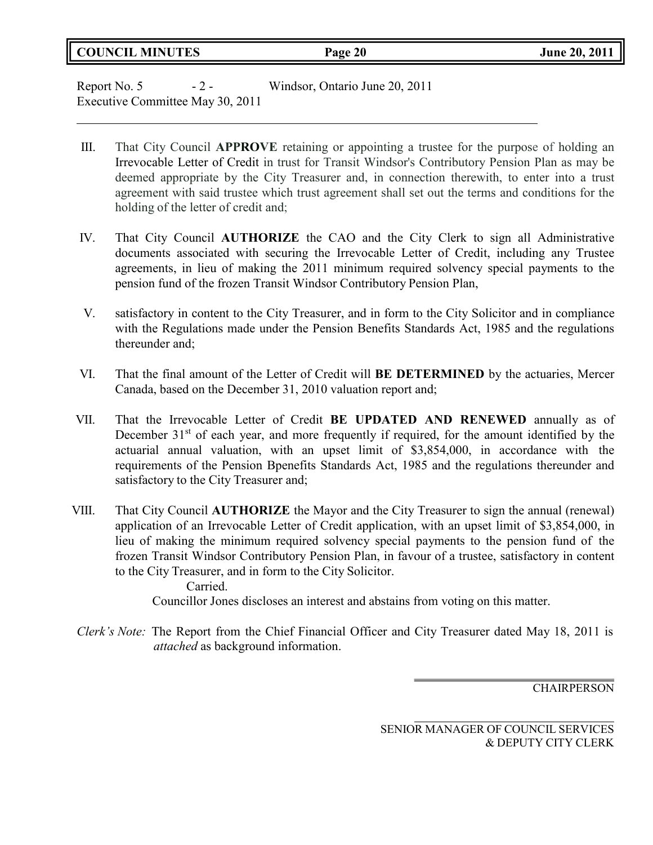## **COUNCIL MINUTES Page 20 June 20, 2011**

Report No. 5 - 2 - Windsor, Ontario June 20, 2011 Executive Committee May 30, 2011

- III. That City Council **APPROVE** retaining or appointing a trustee for the purpose of holding an Irrevocable Letter of Credit in trust for Transit Windsor's Contributory Pension Plan as may be deemed appropriate by the City Treasurer and, in connection therewith, to enter into a trust agreement with said trustee which trust agreement shall set out the terms and conditions for the holding of the letter of credit and;
- IV. That City Council **AUTHORIZE** the CAO and the City Clerk to sign all Administrative documents associated with securing the Irrevocable Letter of Credit, including any Trustee agreements, in lieu of making the 2011 minimum required solvency special payments to the pension fund of the frozen Transit Windsor Contributory Pension Plan,
- V. satisfactory in content to the City Treasurer, and in form to the City Solicitor and in compliance with the Regulations made under the Pension Benefits Standards Act, 1985 and the regulations thereunder and;
- VI. That the final amount of the Letter of Credit will **BE DETERMINED** by the actuaries, Mercer Canada, based on the December 31, 2010 valuation report and;
- VII. That the Irrevocable Letter of Credit **BE UPDATED AND RENEWED** annually as of December  $31<sup>st</sup>$  of each year, and more frequently if required, for the amount identified by the actuarial annual valuation, with an upset limit of \$3,854,000, in accordance with the requirements of the Pension Bpenefits Standards Act, 1985 and the regulations thereunder and satisfactory to the City Treasurer and;
- VIII. That City Council **AUTHORIZE** the Mayor and the City Treasurer to sign the annual (renewal) application of an Irrevocable Letter of Credit application, with an upset limit of \$3,854,000, in lieu of making the minimum required solvency special payments to the pension fund of the frozen Transit Windsor Contributory Pension Plan, in favour of a trustee, satisfactory in content to the City Treasurer, and in form to the City Solicitor.

Carried. Councillor Jones discloses an interest and abstains from voting on this matter.

*Clerk's Note:* The Report from the Chief Financial Officer and City Treasurer dated May 18, 2011 is *attached* as background information.

**CHAIRPERSON**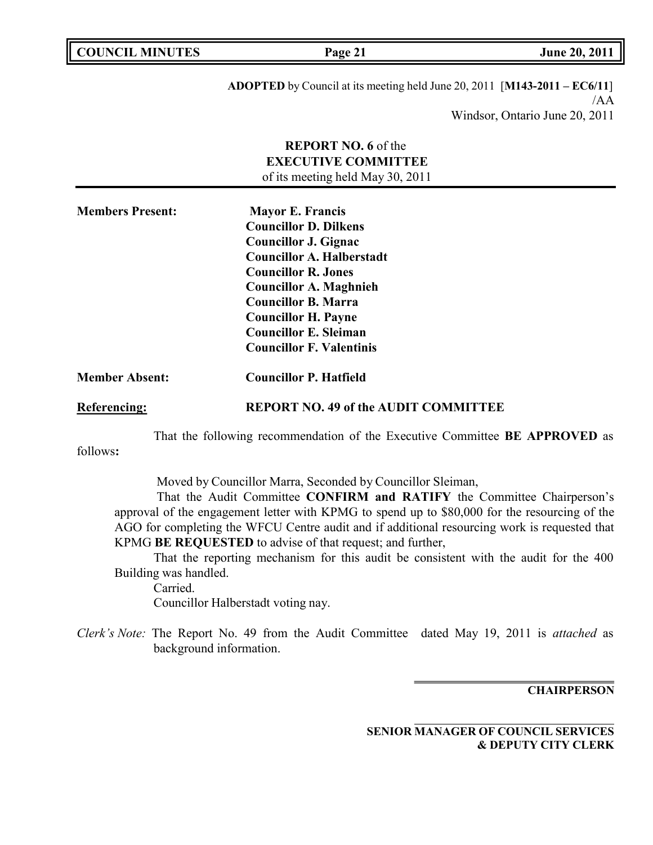| <b>COUNCIL MINUTES</b> | Page 21                                                     |
|------------------------|-------------------------------------------------------------|
|                        | <b>ADOPTED</b> by Council at its meeting held June 20, 2011 |

Windsor, Ontario June 20, 2011

## **REPORT NO. 6** of the **EXECUTIVE COMMITTEE** of its meeting held May 30, 2011

| <b>Members Present:</b> | <b>Mayor E. Francis</b>          |  |
|-------------------------|----------------------------------|--|
|                         | <b>Councillor D. Dilkens</b>     |  |
|                         | <b>Councillor J. Gignac</b>      |  |
|                         | <b>Councillor A. Halberstadt</b> |  |
|                         | <b>Councillor R. Jones</b>       |  |
|                         | <b>Councillor A. Maghnieh</b>    |  |
|                         | <b>Councillor B. Marra</b>       |  |
|                         | <b>Councillor H. Payne</b>       |  |
|                         | <b>Councillor E. Sleiman</b>     |  |
|                         | <b>Councillor F. Valentinis</b>  |  |
| <b>Member Absent:</b>   | <b>Councillor P. Hatfield</b>    |  |

**Referencing: REPORT NO. 49 of the AUDIT COMMITTEE**

That the following recommendation of the Executive Committee **BE APPROVED** as

follows**:**

Moved by Councillor Marra, Seconded by Councillor Sleiman,

That the Audit Committee **CONFIRM and RATIFY** the Committee Chairperson's approval of the engagement letter with KPMG to spend up to \$80,000 for the resourcing of the AGO for completing the WFCU Centre audit and if additional resourcing work is requested that KPMG **BE REQUESTED** to advise of that request; and further,

That the reporting mechanism for this audit be consistent with the audit for the 400 Building was handled.

Carried. Councillor Halberstadt voting nay.

*Clerk's Note:* The Report No. 49 from the Audit Committee dated May 19, 2011 is *attached* as background information.

**CHAIRPERSON**

**SENIOR MANAGER OF COUNCIL SERVICES & DEPUTY CITY CLERK**

**COUNCIL MINUTES Page 21 June 20, 2011**

/AA

 $[M143-2011 - EC6/11]$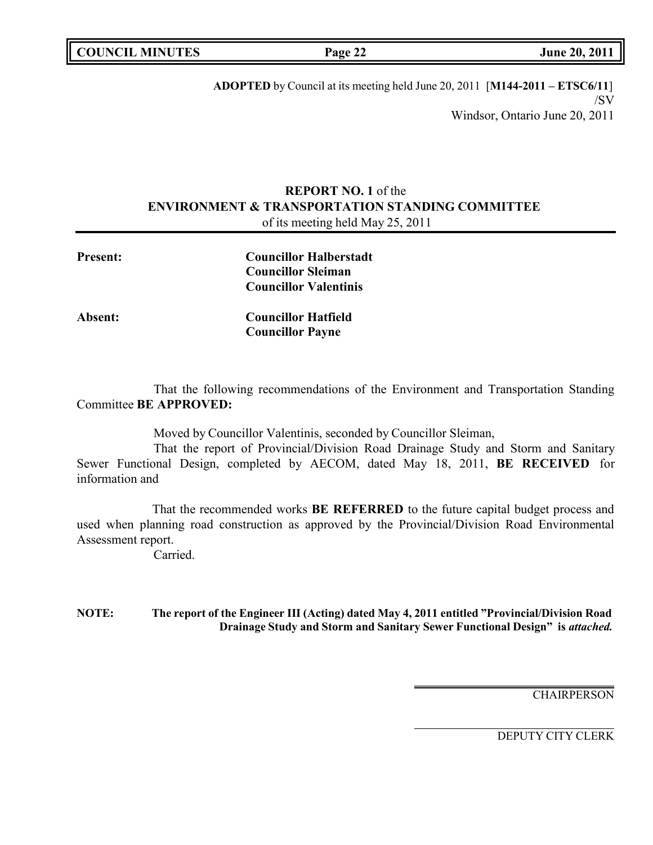|  | <b>COUNCIL MINUTES</b> |
|--|------------------------|
|--|------------------------|

**COUNCIL EXECUTE:** Fig. 2011

**ADOPTED** by Council at its meeting held June 20, 2011 [**M144-2011 – ETSC6/11**] /SV Windsor, Ontario June 20, 2011

## **REPORT NO. 1** of the **ENVIRONMENT & TRANSPORTATION STANDING COMMITTEE** of its meeting held May 25, 2011

| <b>Present:</b> | <b>Councillor Halberstadt</b><br><b>Councillor Sleiman</b><br><b>Councillor Valentinis</b> |  |
|-----------------|--------------------------------------------------------------------------------------------|--|
| Absent:         | <b>Councillor Hatfield</b><br><b>Councillor Payne</b>                                      |  |

That the following recommendations of the Environment and Transportation Standing Committee **BE APPROVED:**

Moved by Councillor Valentinis, seconded by Councillor Sleiman,

That the report of Provincial/Division Road Drainage Study and Storm and Sanitary Sewer Functional Design, completed by AECOM, dated May 18, 2011, **BE RECEIVED** for information and

That the recommended works **BE REFERRED** to the future capital budget process and used when planning road construction as approved by the Provincial/Division Road Environmental Assessment report.

Carried.

**NOTE: The report of the Engineer III (Acting) dated May 4, 2011 entitled "Provincial/Division Road Drainage Study and Storm and Sanitary Sewer Functional Design" is** *attached.*

**CHAIRPERSON**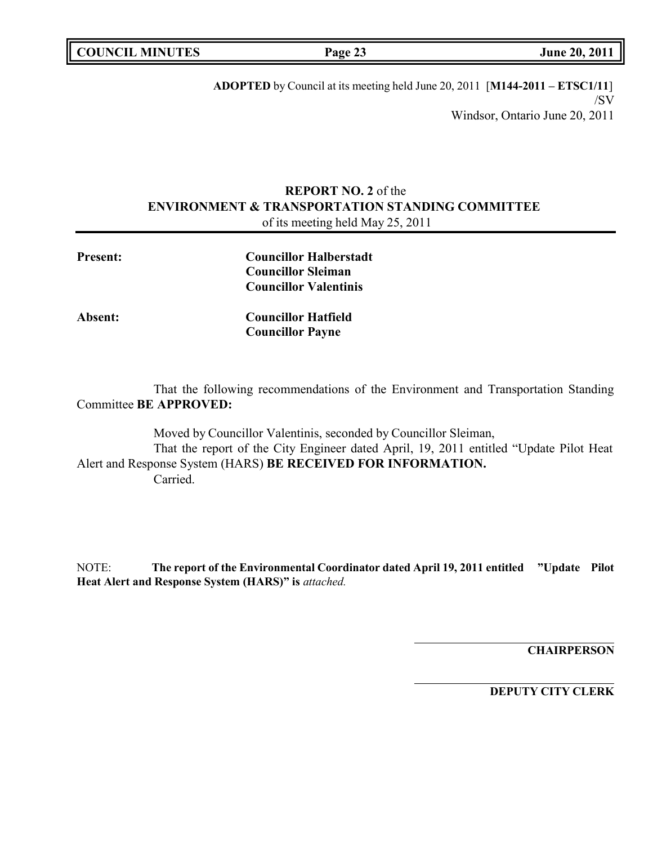|  | <b>COUNCIL MINUTES</b> |
|--|------------------------|
|--|------------------------|

**COUNCIL EXECUTE: COUNCIL EXECUTE: Page 23 June 20, 2011** 

**ADOPTED** by Council at its meeting held June 20, 2011 [**M144-2011 – ETSC1/11**] /SV Windsor, Ontario June 20, 2011

## **REPORT NO. 2** of the **ENVIRONMENT & TRANSPORTATION STANDING COMMITTEE** of its meeting held May 25, 2011

| <b>Present:</b> | <b>Councillor Halberstadt</b> |  |
|-----------------|-------------------------------|--|
|                 | <b>Councillor Sleiman</b>     |  |
|                 | <b>Councillor Valentinis</b>  |  |
| <b>Absent:</b>  | <b>Councillor Hatfield</b>    |  |
|                 | <b>Councillor Payne</b>       |  |
|                 |                               |  |
|                 |                               |  |

That the following recommendations of the Environment and Transportation Standing Committee **BE APPROVED:**

Moved by Councillor Valentinis, seconded by Councillor Sleiman, That the report of the City Engineer dated April, 19, 2011 entitled "Update Pilot Heat Alert and Response System (HARS) **BE RECEIVED FOR INFORMATION.** Carried.

NOTE: **The report of the Environmental Coordinator dated April 19, 2011 entitled "Update Pilot Heat Alert and Response System (HARS)" is** *attached.*

**CHAIRPERSON**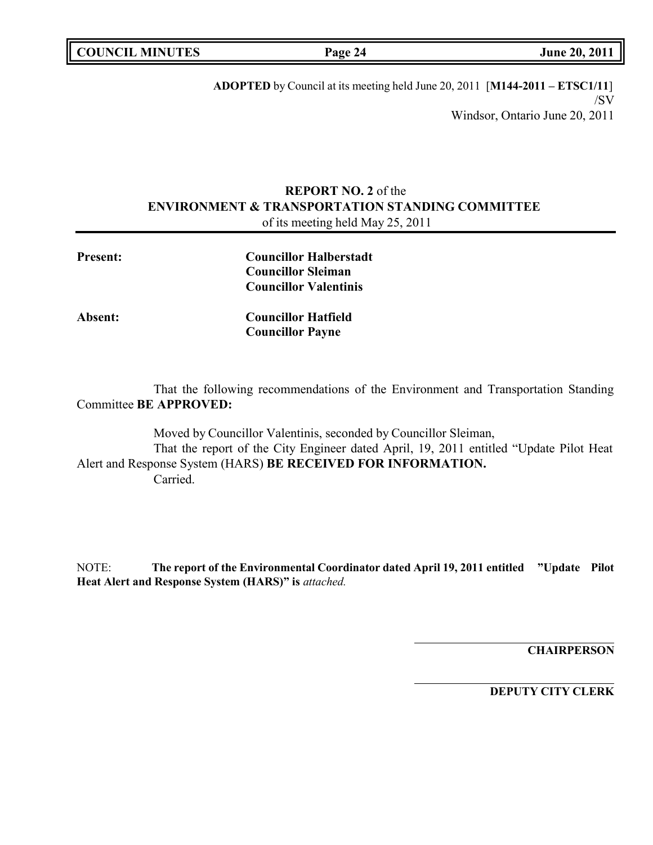|  | <b>COUNCIL MINUTES</b> |
|--|------------------------|
|--|------------------------|

**COUNCIL EXECUTE:** Fig. 2011

**ADOPTED** by Council at its meeting held June 20, 2011 [**M144-2011 – ETSC1/11**] /SV Windsor, Ontario June 20, 2011

## **REPORT NO. 2** of the **ENVIRONMENT & TRANSPORTATION STANDING COMMITTEE** of its meeting held May 25, 2011

| <b>Present:</b> | <b>Councillor Halberstadt</b><br><b>Councillor Sleiman</b><br><b>Councillor Valentinis</b> |  |
|-----------------|--------------------------------------------------------------------------------------------|--|
| <b>Absent:</b>  | <b>Councillor Hatfield</b><br><b>Councillor Payne</b>                                      |  |
|                 |                                                                                            |  |

That the following recommendations of the Environment and Transportation Standing Committee **BE APPROVED:**

Moved by Councillor Valentinis, seconded by Councillor Sleiman, That the report of the City Engineer dated April, 19, 2011 entitled "Update Pilot Heat Alert and Response System (HARS) **BE RECEIVED FOR INFORMATION.** Carried.

NOTE: **The report of the Environmental Coordinator dated April 19, 2011 entitled "Update Pilot Heat Alert and Response System (HARS)" is** *attached.*

**CHAIRPERSON**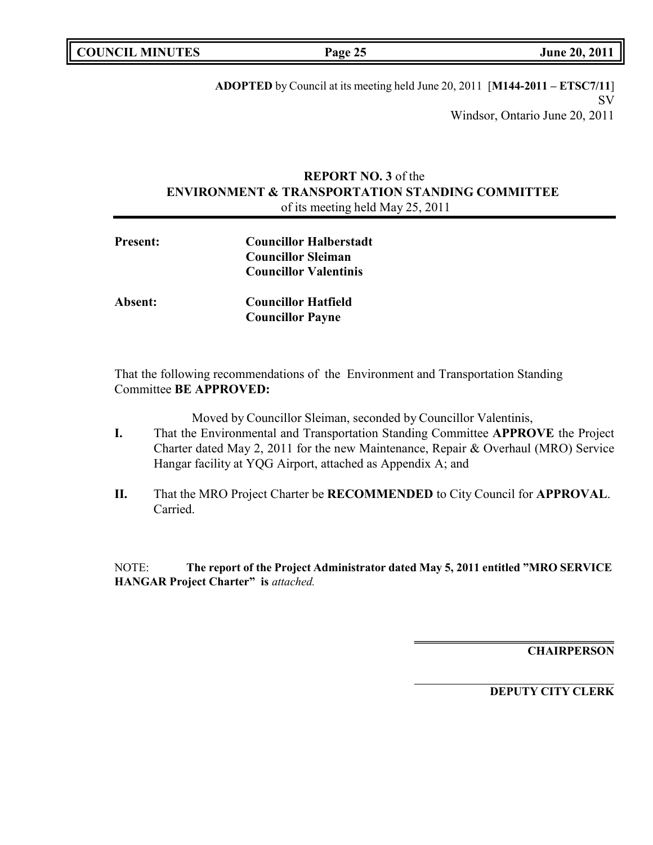|  | <b>COUNCIL MINUTES</b> |
|--|------------------------|
|--|------------------------|

**COUNCIL MINUTES Page 25 June 20, 2011**

**ADOPTED** by Council at its meeting held June 20, 2011 [**M144-2011 – ETSC7/11**] SV Windsor, Ontario June 20, 2011

## **REPORT NO. 3** of the **ENVIRONMENT & TRANSPORTATION STANDING COMMITTEE** of its meeting held May 25, 2011

| <b>Present:</b> | <b>Councillor Halberstadt</b><br><b>Councillor Sleiman</b><br><b>Councillor Valentinis</b> |
|-----------------|--------------------------------------------------------------------------------------------|
| <b>Absent:</b>  | <b>Councillor Hatfield</b><br><b>Councillor Payne</b>                                      |

That the following recommendations of the Environment and Transportation Standing Committee **BE APPROVED:**

Moved by Councillor Sleiman, seconded by Councillor Valentinis,

- **I.** That the Environmental and Transportation Standing Committee **APPROVE** the Project Charter dated May 2, 2011 for the new Maintenance, Repair & Overhaul (MRO) Service Hangar facility at YQG Airport, attached as Appendix A; and
- **II.** That the MRO Project Charter be **RECOMMENDED** to City Council for **APPROVAL**. Carried.

NOTE: **The report of the Project Administrator dated May 5, 2011 entitled "MRO SERVICE HANGAR Project Charter" is** *attached.*

**CHAIRPERSON**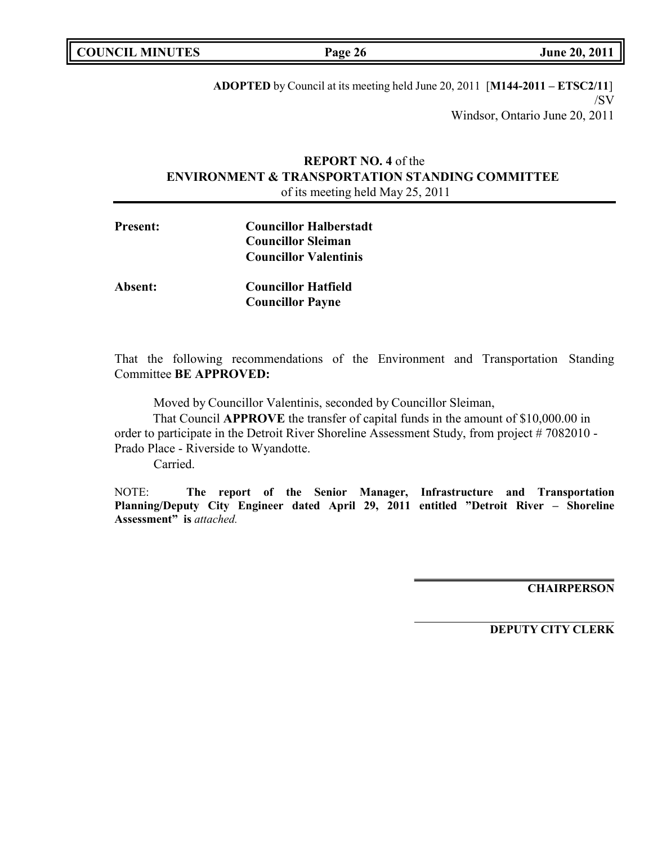|  | <b>COUNCIL MINUTES</b> |
|--|------------------------|
|--|------------------------|

**COUNCIL EXECUTE:** Fig. 2011

**ADOPTED** by Council at its meeting held June 20, 2011 [**M144-2011 – ETSC2/11**] /SV Windsor, Ontario June 20, 2011

## **REPORT NO. 4** of the **ENVIRONMENT & TRANSPORTATION STANDING COMMITTEE** of its meeting held May 25, 2011

| <b>Present:</b> | <b>Councillor Halberstadt</b> |
|-----------------|-------------------------------|
|                 | <b>Councillor Sleiman</b>     |
|                 | <b>Councillor Valentinis</b>  |
| <b>Absent:</b>  | <b>Councillor Hatfield</b>    |
|                 | <b>Councillor Payne</b>       |

That the following recommendations of the Environment and Transportation Standing Committee **BE APPROVED:**

Moved by Councillor Valentinis, seconded by Councillor Sleiman,

That Council **APPROVE** the transfer of capital funds in the amount of \$10,000.00 in order to participate in the Detroit River Shoreline Assessment Study, from project #7082010 -Prado Place - Riverside to Wyandotte.

Carried.

NOTE: **The report of the Senior Manager, Infrastructure and Transportation Planning/Deputy City Engineer dated April 29, 2011 entitled "Detroit River – Shoreline Assessment" is** *attached.*

**CHAIRPERSON**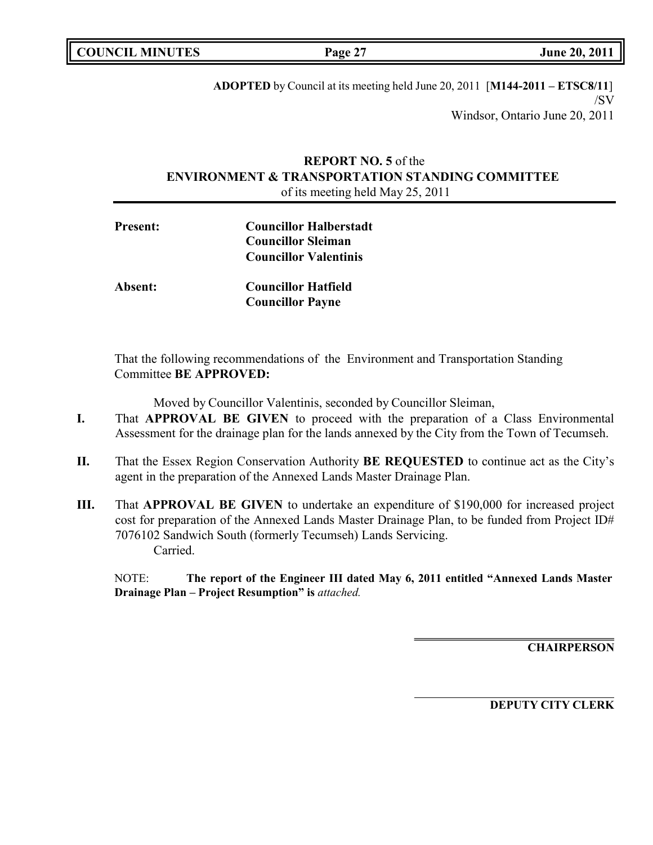|  | <b>COUNCIL MINUTES</b> |
|--|------------------------|
|--|------------------------|

**COUNCIL MINUTES Page 27 June 20, 2011**

**ADOPTED** by Council at its meeting held June 20, 2011 [**M144-2011 – ETSC8/11**] /SV Windsor, Ontario June 20, 2011

## **REPORT NO. 5** of the **ENVIRONMENT & TRANSPORTATION STANDING COMMITTEE** of its meeting held May 25, 2011

| <b>Present:</b> | <b>Councillor Halberstadt</b> |  |
|-----------------|-------------------------------|--|
|                 | <b>Councillor Sleiman</b>     |  |
|                 | <b>Councillor Valentinis</b>  |  |
| Absent:         | <b>Councillor Hatfield</b>    |  |
|                 | <b>Councillor Payne</b>       |  |

That the following recommendations of the Environment and Transportation Standing Committee **BE APPROVED:**

Moved by Councillor Valentinis, seconded by Councillor Sleiman,

- **I.** That **APPROVAL BE GIVEN** to proceed with the preparation of a Class Environmental Assessment for the drainage plan for the lands annexed by the City from the Town of Tecumseh.
- **II.** That the Essex Region Conservation Authority **BE REQUESTED** to continue act as the City's agent in the preparation of the Annexed Lands Master Drainage Plan.
- **III.** That **APPROVAL BE GIVEN** to undertake an expenditure of \$190,000 for increased project cost for preparation of the Annexed Lands Master Drainage Plan, to be funded from Project ID# 7076102 Sandwich South (formerly Tecumseh) Lands Servicing. Carried.

NOTE: **The report of the Engineer III dated May 6, 2011 entitled "Annexed Lands Master Drainage Plan – Project Resumption" is** *attached.*

**CHAIRPERSON**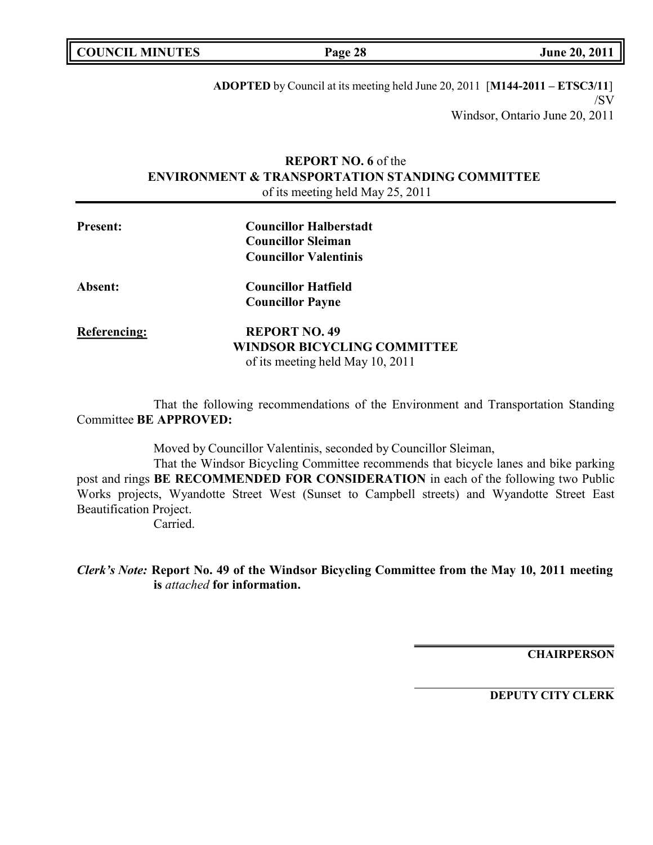|  | <b>COUNCIL MINUTES</b> |
|--|------------------------|
|--|------------------------|

**COUNCIL EXECUTE: COUNCIL EXECUTE: Page 28 June 20, 2011** 

**ADOPTED** by Council at its meeting held June 20, 2011 [**M144-2011 – ETSC3/11**] /SV Windsor, Ontario June 20, 2011

## **REPORT NO. 6** of the **ENVIRONMENT & TRANSPORTATION STANDING COMMITTEE** of its meeting held May 25, 2011

| <b>Present:</b>     | <b>Councillor Halberstadt</b>      |
|---------------------|------------------------------------|
|                     | <b>Councillor Sleiman</b>          |
|                     | <b>Councillor Valentinis</b>       |
| <b>Absent:</b>      | <b>Councillor Hatfield</b>         |
|                     | <b>Councillor Payne</b>            |
| <b>Referencing:</b> | <b>REPORT NO. 49</b>               |
|                     | <b>WINDSOR BICYCLING COMMITTEE</b> |
|                     | of its meeting held May 10, 2011   |

That the following recommendations of the Environment and Transportation Standing Committee **BE APPROVED:**

Moved by Councillor Valentinis, seconded by Councillor Sleiman,

That the Windsor Bicycling Committee recommends that bicycle lanes and bike parking post and rings **BE RECOMMENDED FOR CONSIDERATION** in each of the following two Public Works projects, Wyandotte Street West (Sunset to Campbell streets) and Wyandotte Street East Beautification Project.

Carried.

*Clerk's Note:* **Report No. 49 of the Windsor Bicycling Committee from the May 10, 2011 meeting is** *attached* **for information.**

**CHAIRPERSON**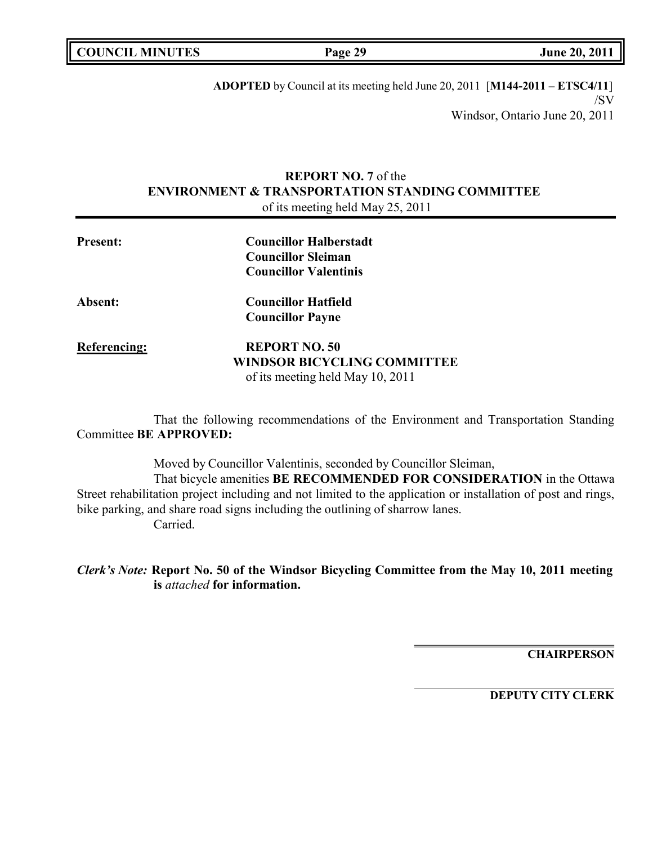|  | <b>COUNCIL MINUTES</b> |
|--|------------------------|
|--|------------------------|

**COUNCIL MINUTES Page 29 June 20, 2011**

**ADOPTED** by Council at its meeting held June 20, 2011 [**M144-2011 – ETSC4/11**] /SV Windsor, Ontario June 20, 2011

## **REPORT NO. 7** of the **ENVIRONMENT & TRANSPORTATION STANDING COMMITTEE** of its meeting held May 25, 2011

| <b>Present:</b> | <b>Councillor Halberstadt</b>      |  |
|-----------------|------------------------------------|--|
|                 | <b>Councillor Sleiman</b>          |  |
|                 | <b>Councillor Valentinis</b>       |  |
| <b>Absent:</b>  | <b>Councillor Hatfield</b>         |  |
|                 | <b>Councillor Payne</b>            |  |
| Referencing:    | <b>REPORT NO. 50</b>               |  |
|                 | <b>WINDSOR BICYCLING COMMITTEE</b> |  |
|                 | of its meeting held May 10, 2011   |  |

That the following recommendations of the Environment and Transportation Standing Committee **BE APPROVED:**

Moved by Councillor Valentinis, seconded by Councillor Sleiman, That bicycle amenities **BE RECOMMENDED FOR CONSIDERATION** in the Ottawa Street rehabilitation project including and not limited to the application or installation of post and rings, bike parking, and share road signs including the outlining of sharrow lanes. Carried.

*Clerk's Note:* **Report No. 50 of the Windsor Bicycling Committee from the May 10, 2011 meeting is** *attached* **for information.**

**CHAIRPERSON**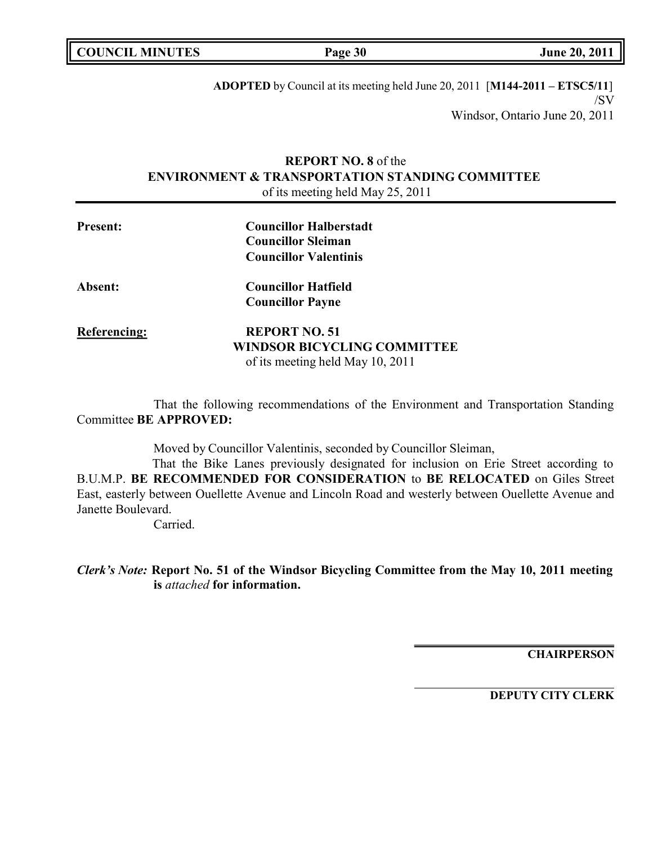|  | <b>COUNCIL MINUTES</b> |
|--|------------------------|
|--|------------------------|

**COUNCIL EXECUTE:** FOR **LIGATION COUNCIL COUNCIL COUNCIL COUNCIL COUNCIL COUNCIL COUNCIL COUNCIL COUNCIL** 

**ADOPTED** by Council at its meeting held June 20, 2011 [**M144-2011 – ETSC5/11**] /SV Windsor, Ontario June 20, 2011

## **REPORT NO. 8** of the **ENVIRONMENT & TRANSPORTATION STANDING COMMITTEE** of its meeting held May 25, 2011

| <b>Present:</b>     | <b>Councillor Halberstadt</b>      |
|---------------------|------------------------------------|
|                     | <b>Councillor Sleiman</b>          |
|                     | <b>Councillor Valentinis</b>       |
| <b>Absent:</b>      | <b>Councillor Hatfield</b>         |
|                     | <b>Councillor Payne</b>            |
| <b>Referencing:</b> | <b>REPORT NO. 51</b>               |
|                     | <b>WINDSOR BICYCLING COMMITTEE</b> |
|                     | of its meeting held May 10, 2011   |

That the following recommendations of the Environment and Transportation Standing Committee **BE APPROVED:**

Moved by Councillor Valentinis, seconded by Councillor Sleiman,

That the Bike Lanes previously designated for inclusion on Erie Street according to B.U.M.P. **BE RECOMMENDED FOR CONSIDERATION** to **BE RELOCATED** on Giles Street East, easterly between Ouellette Avenue and Lincoln Road and westerly between Ouellette Avenue and Janette Boulevard.

Carried.

*Clerk's Note:* **Report No. 51 of the Windsor Bicycling Committee from the May 10, 2011 meeting is** *attached* **for information.**

**CHAIRPERSON**